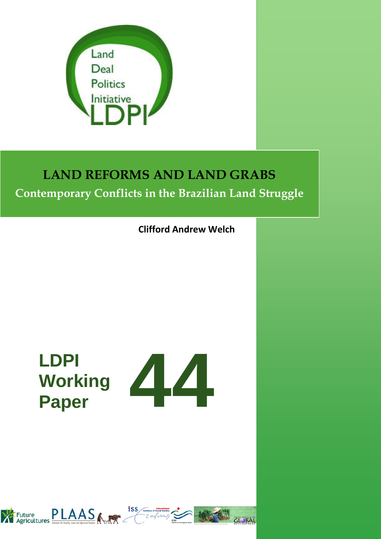

# **LAND REFORMS AND LAND GRABS**

### **Contemporary Conflicts in the Brazilian Land Struggle**

**Clifford Andrew Welch**

# **LDPI Working**



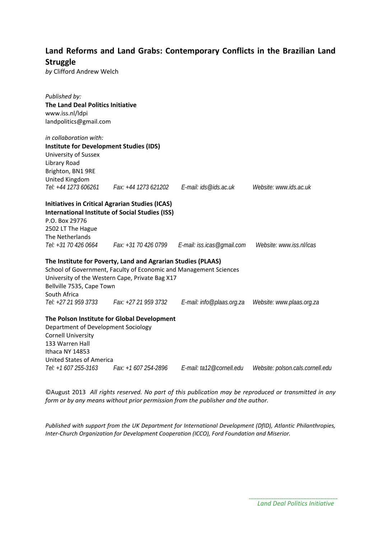### **Land Reforms and Land Grabs: Contemporary Conflicts in the Brazilian Land Struggle**

*by* Clifford Andrew Welch

| Published by:                                  |                                                                   |                                              |                                                         |
|------------------------------------------------|-------------------------------------------------------------------|----------------------------------------------|---------------------------------------------------------|
| The Land Deal Politics Initiative              |                                                                   |                                              |                                                         |
| www.iss.nl/ldpi                                |                                                                   |                                              |                                                         |
| landpolitics@gmail.com                         |                                                                   |                                              |                                                         |
| in collaboration with:                         |                                                                   |                                              |                                                         |
| <b>Institute for Development Studies (IDS)</b> |                                                                   |                                              |                                                         |
| University of Sussex                           |                                                                   |                                              |                                                         |
| Library Road                                   |                                                                   |                                              |                                                         |
| Brighton, BN1 9RE                              |                                                                   |                                              |                                                         |
| United Kingdom                                 |                                                                   |                                              |                                                         |
| Tel: +44 1273 606261                           |                                                                   | Fax: +44 1273 621202   E-mail: ids@ids.ac.uk | Website: www.ids.ac.uk                                  |
|                                                | <b>Initiatives in Critical Agrarian Studies (ICAS)</b>            |                                              |                                                         |
|                                                | <b>International Institute of Social Studies (ISS)</b>            |                                              |                                                         |
| P.O. Box 29776                                 |                                                                   |                                              |                                                         |
| 2502 LT The Hague                              |                                                                   |                                              |                                                         |
| The Netherlands                                |                                                                   |                                              |                                                         |
| Tel: +31 70 426 0664                           |                                                                   |                                              | Website: www.iss.nl/icas                                |
|                                                | The Institute for Poverty, Land and Agrarian Studies (PLAAS)      |                                              |                                                         |
|                                                | School of Government, Faculty of Economic and Management Sciences |                                              |                                                         |
|                                                | University of the Western Cape, Private Bag X17                   |                                              |                                                         |
| Bellville 7535, Cape Town                      |                                                                   |                                              |                                                         |
| South Africa                                   |                                                                   |                                              |                                                         |
| Tel: +27 21 959 3733                           | Fax: +27 21 959 3732                                              |                                              | E-mail: info@plaas.org.za     Website: www.plaas.org.za |
|                                                | The Polson Institute for Global Development                       |                                              |                                                         |
| Department of Development Sociology            |                                                                   |                                              |                                                         |
| <b>Cornell University</b>                      |                                                                   |                                              |                                                         |
| 133 Warren Hall                                |                                                                   |                                              |                                                         |
| Ithaca NY 14853                                |                                                                   |                                              |                                                         |
| <b>United States of America</b>                |                                                                   |                                              |                                                         |
| Tel: +1 607 255-3163                           | Fax: +1 607 254-2896                                              | E-mail: ta12@cornell.edu                     | Website: polson.cals.cornell.edu                        |

©August 2013 *All rights reserved. No part of this publication may be reproduced or transmitted in any form or by any means without prior permission from the publisher and the author.*

*Published with support from the UK Department for International Development (DfID), Atlantic Philanthropies, Inter-Church Organization for Development Cooperation (ICCO), Ford Foundation and Miserior.*

> *Land Deal Politics Initiative*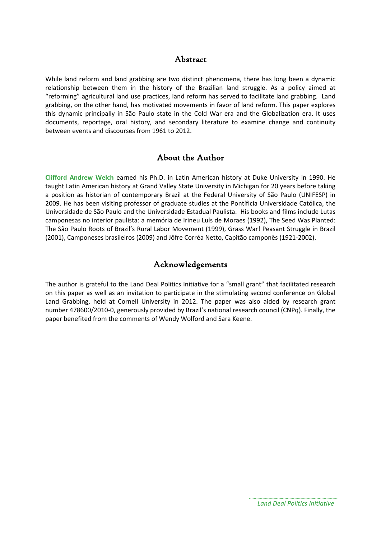### Abstract

While land reform and land grabbing are two distinct phenomena, there has long been a dynamic relationship between them in the history of the Brazilian land struggle. As a policy aimed at "reforming" agricultural land use practices, land reform has served to facilitate land grabbing. Land grabbing, on the other hand, has motivated movements in favor of land reform. This paper explores this dynamic principally in São Paulo state in the Cold War era and the Globalization era. It uses documents, reportage, oral history, and secondary literature to examine change and continuity between events and discourses from 1961 to 2012.

### About the Author

**Clifford Andrew Welch** earned his Ph.D. in Latin American history at Duke University in 1990. He taught Latin American history at Grand Valley State University in Michigan for 20 years before taking a position as historian of contemporary Brazil at the Federal University of São Paulo (UNIFESP) in 2009. He has been visiting professor of graduate studies at the Pontíficia Universidade Católica, the Universidade de São Paulo and the Universidade Estadual Paulista. His books and films include Lutas camponesas no interior paulista: a memória de Irineu Luís de Moraes (1992), The Seed Was Planted: The São Paulo Roots of Brazil's Rural Labor Movement (1999), Grass War! Peasant Struggle in Brazil (2001), Camponeses brasileiros (2009) and Jôfre Corrêa Netto, Capitão camponês (1921-2002).

### Acknowledgements

The author is grateful to the Land Deal Politics Initiative for a "small grant" that facilitated research on this paper as well as an invitation to participate in the stimulating second conference on Global Land Grabbing, held at Cornell University in 2012. The paper was also aided by research grant number 478600/2010-0, generously provided by Brazil's national research council (CNPq). Finally, the paper benefited from the comments of Wendy Wolford and Sara Keene.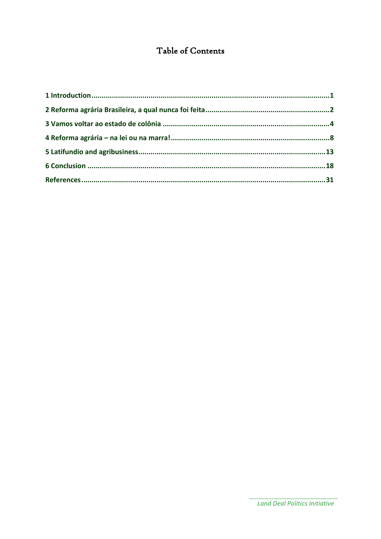### Table of Contents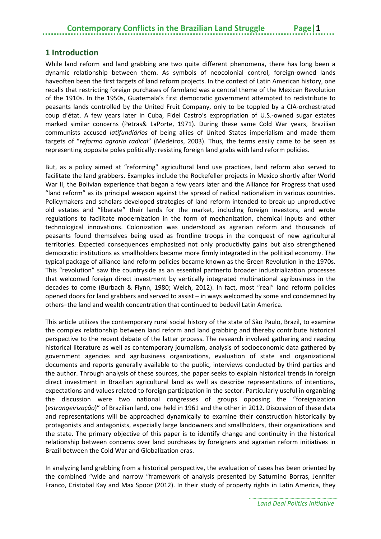### **Contemporary Conflicts in the Brazilian Land Struggle**

#### <span id="page-4-0"></span>**1 Introduction**

While land reform and land grabbing are two quite different phenomena, there has long been a dynamic relationship between them. As symbols of neocolonial control, foreign-owned lands haveoften been the first targets of land reform projects. In the context of Latin American history, one recalls that restricting foreign purchases of farmland was a central theme of the Mexican Revolution of the 1910s. In the 1950s, Guatemala's first democratic government attempted to redistribute to peasants lands controlled by the United Fruit Company, only to be toppled by a CIA-orchestrated coup d'état. A few years later in Cuba, Fidel Castro's expropriation of U.S.-owned sugar estates marked similar concerns (Petras& LaPorte, 1971). During these same Cold War years, Brazilian communists accused *latifundiários* of being allies of United States imperialism and made them targets of "*reforma agraria radical*" (Medeiros, 2003). Thus, the terms easily came to be seen as representing opposite poles politically: resisting foreign land grabs with land reform policies.

But, as a policy aimed at "reforming" agricultural land use practices, land reform also served to facilitate the land grabbers. Examples include the Rockefeller projects in Mexico shortly after World War II, the Bolivian experience that began a few years later and the Alliance for Progress that used "land reform" as its principal weapon against the spread of radical nationalism in various countries. Policymakers and scholars developed strategies of land reform intended to break-up unproductive old estates and "liberate" their lands for the market, including foreign investors, and wrote regulations to facilitate modernization in the form of mechanization, chemical inputs and other technological innovations. Colonization was understood as agrarian reform and thousands of peasants found themselves being used as frontline troops in the conquest of new agricultural territories. Expected consequences emphasized not only productivity gains but also strengthened democratic institutions as smallholders became more firmly integrated in the political economy. The typical package of alliance land reform policies became known as the Green Revolution in the 1970s. This "revolution" saw the countryside as an essential partnerto broader industrialization processes that welcomed foreign direct investment by vertically integrated multinational agribusiness in the decades to come (Burbach & Flynn, 1980; Welch, 2012). In fact, most "real" land reform policies opened doors for land grabbers and served to assist – in ways welcomed by some and condemned by others–the land and wealth concentration that continued to bedevil Latin America.

This article utilizes the contemporary rural social history of the state of São Paulo, Brazil, to examine the complex relationship between land reform and land grabbing and thereby contribute historical perspective to the recent debate of the latter process. The research involved gathering and reading historical literature as well as contemporary journalism, analysis of socioeconomic data gathered by government agencies and agribusiness organizations, evaluation of state and organizational documents and reports generally available to the public, interviews conducted by third parties and the author. Through analysis of these sources, the paper seeks to explain historical trends in foreign direct investment in Brazilian agricultural land as well as describe representations of intentions, expectations and values related to foreign participation in the sector. Particularly useful in organizing the discussion were two national congresses of groups opposing the "foreignization (*estrangeirização*)" of Brazilian land, one held in 1961 and the other in 2012. Discussion of these data and representations will be approached dynamically to examine their construction historically by protagonists and antagonists, especially large landowners and smallholders, their organizations and the state. The primary objective of this paper is to identify change and continuity in the historical relationship between concerns over land purchases by foreigners and agrarian reform initiatives in Brazil between the Cold War and Globalization eras.

In analyzing land grabbing from a historical perspective, the evaluation of cases has been oriented by the combined "wide and narrow "framework of analysis presented by Saturnino Borras, Jennifer Franco, Cristobal Kay and Max Spoor (2012). In their study of property rights in Latin America, they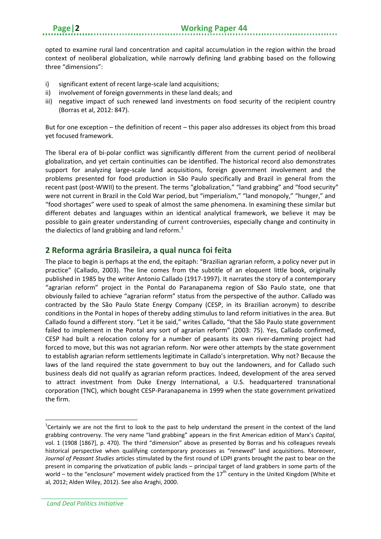opted to examine rural land concentration and capital accumulation in the region within the broad context of neoliberal globalization, while narrowly defining land grabbing based on the following three "dimensions":

- i) significant extent of recent large-scale land acquisitions;
- ii) involvement of foreign governments in these land deals; and
- iii) negative impact of such renewed land investments on food security of the recipient country (Borras et al, 2012: 847).

But for one exception – the definition of recent – this paper also addresses its object from this broad yet focused framework.

The liberal era of bi-polar conflict was significantly different from the current period of neoliberal globalization, and yet certain continuities can be identified. The historical record also demonstrates support for analyzing large-scale land acquisitions, foreign government involvement and the problems presented for food production in São Paulo specifically and Brazil in general from the recent past (post-WWII) to the present. The terms "globalization," "land grabbing" and "food security" were not current in Brazil in the Cold War period, but "imperialism," "land monopoly," "hunger," and "food shortages" were used to speak of almost the same phenomena. In examining these similar but different debates and languages within an identical analytical framework, we believe it may be possible to gain greater understanding of current controversies, especially change and continuity in the dialectics of land grabbing and land reform.<sup>[1](#page-5-1)</sup>

### <span id="page-5-0"></span>**2 Reforma agrária Brasileira, a qual nunca foi feita**

The place to begin is perhaps at the end, the epitaph: "Brazilian agrarian reform, a policy never put in practice" (Callado, 2003). The line comes from the subtitle of an eloquent little book, originally published in 1985 by the writer Antonio Callado (1917-1997). It narrates the story of a contemporary "agrarian reform" project in the Pontal do Paranapanema region of São Paulo state, one that obviously failed to achieve "agrarian reform" status from the perspective of the author. Callado was contracted by the São Paulo State Energy Company (CESP, in its Brazilian acronym) to describe conditions in the Pontal in hopes of thereby adding stimulus to land reform initiatives in the area. But Callado found a different story. "Let it be said," writes Callado, "that the São Paulo state government failed to implement in the Pontal any sort of agrarian reform" (2003: 75). Yes, Callado confirmed, CESP had built a relocation colony for a number of peasants its own river-damming project had forced to move, but this was not agrarian reform. Nor were other attempts by the state government to establish agrarian reform settlements legitimate in Callado's interpretation. Why not? Because the laws of the land required the state government to buy out the landowners, and for Callado such business deals did not qualify as agrarian reform practices. Indeed, development of the area served to attract investment from Duke Energy International, a U.S. headquartered transnational corporation (TNC), which bought CESP-Paranapanema in 1999 when the state government privatized the firm.

1

<span id="page-5-1"></span><sup>&</sup>lt;sup>1</sup>Certainly we are not the first to look to the past to help understand the present in the context of the land grabbing controversy. The very name "land grabbing" appears in the first American edition of Marx's *Capital*, vol. 1 (1908 [1867], p. 470). The third "dimension" above as presented by Borras and his colleagues reveals historical perspective when qualifying contemporary processes as "renewed" land acquisitions. Moreover, *Journal of Peasant Studies* articles stimulated by the first round of LDPI grants brought the past to bear on the present in comparing the privatization of public lands – principal target of land grabbers in some parts of the world – to the "enclosure" movement widely practiced from the  $17<sup>th</sup>$  century in the United Kingdom (White et al, 2012; Alden Wiley, 2012). See also Araghi, 2000.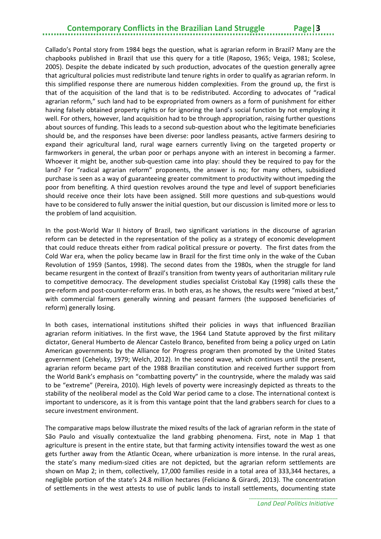### **Contemporary Conflicts in the Brazilian Land Struggle**

Callado's Pontal story from 1984 begs the question, what is agrarian reform in Brazil? Many are the chapbooks published in Brazil that use this query for a title (Raposo, 1965; Veiga, 1981; Scolese, 2005). Despite the debate indicated by such production, advocates of the question generally agree that agricultural policies must redistribute land tenure rights in order to qualify as agrarian reform. In this simplified response there are numerous hidden complexities. From the ground up, the first is that of the acquisition of the land that is to be redistributed. According to advocates of "radical agrarian reform," such land had to be expropriated from owners as a form of punishment for either having falsely obtained property rights or for ignoring the land's social function by not employing it well. For others, however, land acquisition had to be through appropriation, raising further questions about sources of funding. This leads to a second sub-question about who the legitimate beneficiaries should be, and the responses have been diverse: poor landless peasants, active farmers desiring to expand their agricultural land, rural wage earners currently living on the targeted property or farmworkers in general, the urban poor or perhaps anyone with an interest in becoming a farmer. Whoever it might be, another sub-question came into play: should they be required to pay for the land? For "radical agrarian reform" proponents, the answer is no; for many others, subsidized purchase is seen as a way of guaranteeing greater commitment to productivity without impeding the poor from benefiting. A third question revolves around the type and level of support beneficiaries should receive once their lots have been assigned. Still more questions and sub-questions would have to be considered to fully answer the initial question, but our discussion is limited more or less to the problem of land acquisition.

In the post-World War II history of Brazil, two significant variations in the discourse of agrarian reform can be detected in the representation of the policy as a strategy of economic development that could reduce threats either from radical political pressure or poverty. The first dates from the Cold War era, when the policy became law in Brazil for the first time only in the wake of the Cuban Revolution of 1959 (Santos, 1998). The second dates from the 1980s, when the struggle for land became resurgent in the context of Brazil's transition from twenty years of authoritarian military rule to competitive democracy. The development studies specialist Cristobal Kay (1998) calls these the pre-reform and post-counter-reform eras. In both eras, as he shows, the results were "mixed at best," with commercial farmers generally winning and peasant farmers (the supposed beneficiaries of reform) generally losing.

In both cases, international institutions shifted their policies in ways that influenced Brazilian agrarian reform initiatives. In the first wave, the 1964 Land Statute approved by the first military dictator, General Humberto de Alencar Castelo Branco, benefited from being a policy urged on Latin American governments by the Alliance for Progress program then promoted by the United States government (Cehelsky, 1979; Welch, 2012). In the second wave, which continues until the present, agrarian reform became part of the 1988 Brazilian constitution and received further support from the World Bank's emphasis on "combatting poverty" in the countryside, where the malady was said to be "extreme" (Pereira, 2010). High levels of poverty were increasingly depicted as threats to the stability of the neoliberal model as the Cold War period came to a close. The international context is important to underscore, as it is from this vantage point that the land grabbers search for clues to a secure investment environment.

The comparative maps below illustrate the mixed results of the lack of agrarian reform in the state of São Paulo and visually contextualize the land grabbing phenomena. First, note in Map 1 that agriculture is present in the entire state, but that farming activity intensifies toward the west as one gets further away from the Atlantic Ocean, where urbanization is more intense. In the rural areas, the state's many medium-sized cities are not depicted, but the agrarian reform settlements are shown on Map 2; in them, collectively, 17,000 families reside in a total area of 333,344 hectares, a negligible portion of the state's 24.8 million hectares (Feliciano & Girardi, 2013). The concentration of settlements in the west attests to use of public lands to install settlements, documenting state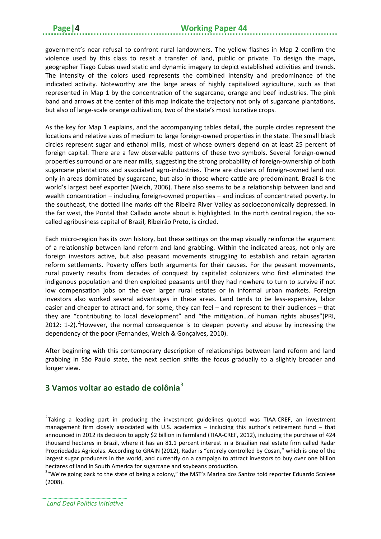government's near refusal to confront rural landowners. The yellow flashes in Map 2 confirm the violence used by this class to resist a transfer of land, public or private. To design the maps, geographer Tiago Cubas used static and dynamic imagery to depict established activities and trends. The intensity of the colors used represents the combined intensity and predominance of the indicated activity. Noteworthy are the large areas of highly capitalized agriculture, such as that represented in Map 1 by the concentration of the sugarcane, orange and beef industries. The pink band and arrows at the center of this map indicate the trajectory not only of sugarcane plantations, but also of large-scale orange cultivation, two of the state's most lucrative crops.

As the key for Map 1 explains, and the accompanying tables detail, the purple circles represent the locations and relative sizes of medium to large foreign-owned properties in the state. The small black circles represent sugar and ethanol mills, most of whose owners depend on at least 25 percent of foreign capital. There are a few observable patterns of these two symbols. Several foreign-owned properties surround or are near mills, suggesting the strong probability of foreign-ownership of both sugarcane plantations and associated agro-industries. There are clusters of foreign-owned land not only in areas dominated by sugarcane, but also in those where cattle are predominant. Brazil is the world's largest beef exporter (Welch, 2006). There also seems to be a relationship between land and wealth concentration – including foreign-owned properties – and indices of concentrated poverty. In the southeast, the dotted line marks off the Ribeira River Valley as socioeconomically depressed. In the far west, the Pontal that Callado wrote about is highlighted. In the north central region, the socalled agribusiness capital of Brazil, Ribeirão Preto, is circled.

Each micro-region has its own history, but these settings on the map visually reinforce the argument of a relationship between land reform and land grabbing. Within the indicated areas, not only are foreign investors active, but also peasant movements struggling to establish and retain agrarian reform settlements. Poverty offers both arguments for their causes. For the peasant movements, rural poverty results from decades of conquest by capitalist colonizers who first eliminated the indigenous population and then exploited peasants until they had nowhere to turn to survive if not low compensation jobs on the ever larger rural estates or in informal urban markets. Foreign investors also worked several advantages in these areas. Land tends to be less-expensive, labor easier and cheaper to attract and, for some, they can feel – and represent to their audiences – that they are "contributing to local development" and "the mitigation…of human rights abuses"(PRI, [2](#page-7-1)012: 1-2).<sup>2</sup> However, the normal consequence is to deepen poverty and abuse by increasing the dependency of the poor (Fernandes, Welch & Gonçalves, 2010).

After beginning with this contemporary description of relationships between land reform and land grabbing in São Paulo state, the next section shifts the focus gradually to a slightly broader and longer view.

### <span id="page-7-0"></span>**3 Vamos voltar ao estado de colônia**[3](#page-7-2)

**.** 

<span id="page-7-1"></span><sup>&</sup>lt;sup>2</sup>Taking a leading part in producing the investment guidelines quoted was TIAA-CREF, an investment management firm closely associated with U.S. academics – including this author's retirement fund – that announced in 2012 its decision to apply \$2 billion in farmland (TIAA-CREF, 2012), including the purchase of 424 thousand hectares in Brazil, where it has an 81.1 percent interest in a Brazilian real estate firm called Radar Propriedades Agricolas. According to GRAIN (2012), Radar is "entirely controlled by Cosan," which is one of the largest sugar producers in the world, and currently on a campaign to attract investors to buy over one billion hectares of land in South America for sugarcane and soybeans production.

<span id="page-7-2"></span><sup>&</sup>lt;sup>3</sup>"We're going back to the state of being a colony," the MST's Marina dos Santos told reporter Eduardo Scolese (2008).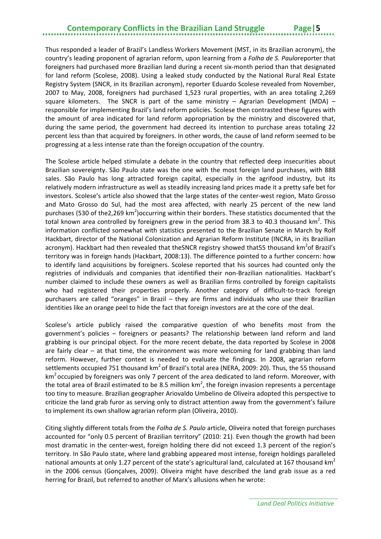### **Contemporary Conflicts in the Brazilian Land Struggle**

Thus responded a leader of Brazil's Landless Workers Movement (MST, in its Brazilian acronym), the country's leading proponent of agrarian reform, upon learning from a *Folha de S. Paulo*reporter that foreigners had purchased more Brazilian land during a recent six-month period than that designated for land reform (Scolese, 2008). Using a leaked study conducted by the National Rural Real Estate Registry System (SNCR, in its Brazilian acronym), reporter Eduardo Scolese revealed from November, 2007 to May, 2008, foreigners had purchased 1,523 rural properties, with an area totaling 2,269 square kilometers. The SNCR is part of the same ministry  $-$  Agrarian Development (MDA)  $$ responsible for implementing Brazil's land reform policies. Scolese then contrasted these figures with the amount of area indicated for land reform appropriation by the ministry and discovered that, during the same period, the government had decreed its intention to purchase areas totaling 22 percent less than that acquired by foreigners. In other words, the cause of land reform seemed to be progressing at a less intense rate than the foreign occupation of the country.

The Scolese article helped stimulate a debate in the country that reflected deep insecurities about Brazilian sovereignty. São Paulo state was the one with the most foreign land purchases, with 888 sales. São Paulo has long attracted foreign capital, especially in the agrifood industry, but its relatively modern infrastructure as well as steadily increasing land prices made it a pretty safe bet for investors. Scolese's article also showed that the large states of the center-west region, Mato Grosso and Mato Grosso do Sul, had the most area affected, with nearly 25 percent of the new land purchases (530 of the2,269 km<sup>2</sup>) occurring within their borders. These statistics documented that the total known area controlled by foreigners grew in the period from 38.3 to 40.3 thousand km<sup>2</sup>. This information conflicted somewhat with statistics presented to the Brazilian Senate in March by Rolf Hackbart, director of the National Colonization and Agrarian Reform Institute (INCRA, in its Brazilian acronym). Hackbart had then revealed that theSNCR registry showed that55 thousand km<sup>2</sup>of Brazil's territory was in foreign hands (Hackbart, 2008:13). The difference pointed to a further concern: how to identify land acquisitions by foreigners. Scolese reported that his sources had counted only the registries of individuals and companies that identified their non-Brazilian nationalities. Hackbart's number claimed to include these owners as well as Brazilian firms controlled by foreign capitalists who had registered their properties properly. Another category of difficult-to-track foreign purchasers are called "oranges" in Brazil – they are firms and individuals who use their Brazilian identities like an orange peel to hide the fact that foreign investors are at the core of the deal.

Scolese's article publicly raised the comparative question of who benefits most from the government's policies – foreigners or peasants? The relationship between land reform and land grabbing is our principal object. For the more recent debate, the data reported by Scolese in 2008 are fairly clear – at that time, the environment was more welcoming for land grabbing than land reform. However, further context is needed to evaluate the findings. In 2008, agrarian reform settlements occupied 751 thousand  $km^2$  of Brazil's total area (NERA, 2009: 20). Thus, the 55 thousand km<sup>2</sup> occupied by foreigners was only 7 percent of the area dedicated to land reform. Moreover, with the total area of Brazil estimated to be 8.5 million  $km^2$ , the foreign invasion represents a percentage too tiny to measure. Brazilian geographer Ariovaldo Umbelino de Oliveira adopted this perspective to criticize the land grab furor as serving only to distract attention away from the government's failure to implement its own shallow agrarian reform plan (Oliveira, 2010).

Citing slightly different totals from the *Folha de S. Paulo* article, Oliveira noted that foreign purchases accounted for "only 0.5 percent of Brazilian territory" (2010: 21). Even though the growth had been most dramatic in the center-west, foreign holding there did not exceed 1.3 percent of the region's territory. In São Paulo state, where land grabbing appeared most intense, foreign holdings paralleled national amounts at only 1.27 percent of the state's agricultural land, calculated at 167 thousand km<sup>2</sup> in the 2006 census (Gonçalves, 2009). Oliveira might have described the land grab issue as a red herring for Brazil, but referred to another of Marx's allusions when he wrote:

*Land Deal Politics Initiative*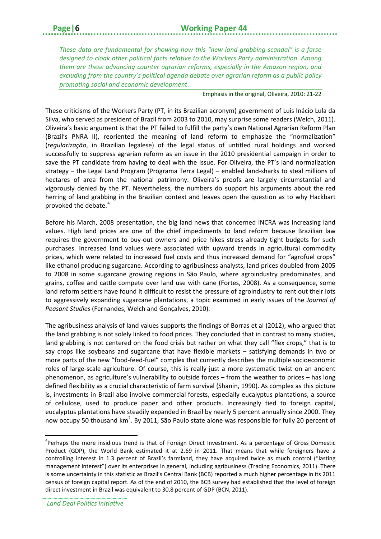### **Page|6 Working Paper 44**

*These data are fundamental for showing how this "new land grabbing scandal" is a farse designed to cloak other political facts relative to the Workers Party administration. Among them are these advancing counter agrarian reforms, especially in the Amazon region, and excluding from the country's political agenda debate over agrarian reform as a public policy promoting social and economic development*.

Emphasis in the original, Oliveira, 2010: 21-22

These criticisms of the Workers Party (PT, in its Brazilian acronym) government of Luis Inácio Lula da Silva, who served as president of Brazil from 2003 to 2010, may surprise some readers (Welch, 2011). Oliveira's basic argument is that the PT failed to fulfill the party's own National Agrarian Reform Plan (Brazil's PNRA II), reoriented the meaning of land reform to emphasize the "normalization" (*regularização*, in Brazilian legalese) of the legal status of untitled rural holdings and worked successfully to suppress agrarian reform as an issue in the 2010 presidential campaign in order to save the PT candidate from having to deal with the issue. For Oliveira, the PT's land normalization strategy – the Legal Land Program (Programa Terra Legal) – enabled land-sharks to steal millions of hectares of area from the national patrimony. Oliveira's proofs are largely circumstantial and vigorously denied by the PT. Nevertheless, the numbers do support his arguments about the red herring of land grabbing in the Brazilian context and leaves open the question as to why Hackbart provoked the debate. [4](#page-9-0)

Before his March, 2008 presentation, the big land news that concerned INCRA was increasing land values. High land prices are one of the chief impediments to land reform because Brazilian law requires the government to buy-out owners and price hikes stress already tight budgets for such purchases. Increased land values were associated with upward trends in agricultural commodity prices, which were related to increased fuel costs and thus increased demand for "agrofuel crops" like ethanol producing sugarcane. According to agribusiness analysts, land prices doubled from 2005 to 2008 in some sugarcane growing regions in São Paulo, where agroindustry predominates, and grains, coffee and cattle compete over land use with cane (Fortes, 2008). As a consequence, some land reform settlers have found it difficult to resist the pressure of agroindustry to rent out their lots to aggressively expanding sugarcane plantations, a topic examined in early issues of the *Journal of Peasant Studies* (Fernandes, Welch and Gonçalves, 2010).

The agribusiness analysis of land values supports the findings of Borras et al (2012), who argued that the land grabbing is not solely linked to food prices. They concluded that in contrast to many studies, land grabbing is not centered on the food crisis but rather on what they call "flex crops," that is to say crops like soybeans and sugarcane that have flexible markets – satisfying demands in two or more parts of the new "food-feed-fuel" complex that currently describes the multiple socioeconomic roles of large-scale agriculture. Of course, this is really just a more systematic twist on an ancient phenomenon, as agriculture's vulnerability to outside forces – from the weather to prices – has long defined flexibility as a crucial characteristic of farm survival (Shanin, 1990). As complex as this picture is, investments in Brazil also involve commercial forests, especially eucalyptus plantations, a source of cellulose, used to produce paper and other products. Increasingly tied to foreign capital, eucalyptus plantations have steadily expanded in Brazil by nearly 5 percent annually since 2000. They now occupy 50 thousand km<sup>2</sup>. By 2011, São Paulo state alone was responsible for fully 20 percent of

 $\overline{a}$ 

<span id="page-9-0"></span><sup>&</sup>lt;sup>4</sup>Perhaps the more insidious trend is that of Foreign Direct Investment. As a percentage of Gross Domestic Product (GDP), the World Bank estimated it at 2.69 in 2011. That means that while foreigners have a controlling interest in 1.3 percent of Brazil's farmland, they have acquired twice as much control ("lasting management interest") over its enterprises in general, including agribusiness (Trading Economics, 2011). There is some uncertainty in this statistic as Brazil's Central Bank (BCB) reported a much higher percentage in its 2011 census of foreign capital report. As of the end of 2010, the BCB survey had established that the level of foreign direct investment in Brazil was equivalent to 30.8 percent of GDP (BCN, 2011).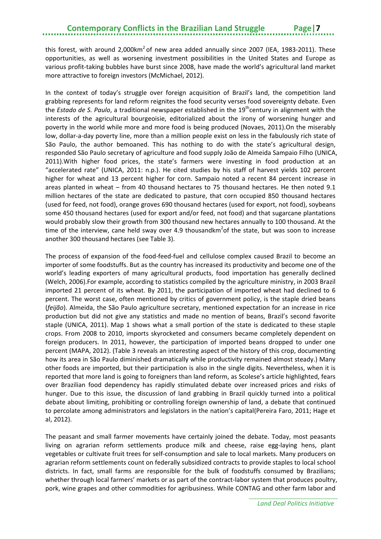this forest, with around 2,000 $km^2$  of new area added annually since 2007 (IEA, 1983-2011). These opportunities, as well as worsening investment possibilities in the United States and Europe as various profit-taking bubbles have burst since 2008, have made the world's agricultural land market more attractive to foreign investors (McMichael, 2012).

In the context of today's struggle over foreign acquisition of Brazil's land, the competition land grabbing represents for land reform reignites the food security verses food sovereignty debate. Even the *Estado de S. Paulo*, a traditional newspaper established in the 19<sup>th</sup>century in alignment with the interests of the agricultural bourgeoisie, editorialized about the irony of worsening hunger and poverty in the world while more and more food is being produced (Novaes, 2011).On the miserably low, dollar-a-day poverty line, more than a million people exist on less in the fabulously rich state of São Paulo, the author bemoaned. This has nothing to do with the state's agricultural design, responded São Paulo secretary of agriculture and food supply João de Almeida Sampaio Filho (UNICA, 2011).With higher food prices, the state's farmers were investing in food production at an "accelerated rate" (UNICA, 2011: n.p.). He cited studies by his staff of harvest yields 102 percent higher for wheat and 13 percent higher for corn. Sampaio noted a recent 84 percent increase in areas planted in wheat – from 40 thousand hectares to 75 thousand hectares. He then noted 9.1 million hectares of the state are dedicated to pasture, that corn occupied 850 thousand hectares (used for feed, not food), orange groves 690 thousand hectares (used for export, not food), soybeans some 450 thousand hectares (used for export and/or feed, not food) and that sugarcane plantations would probably slow their growth from 300 thousand new hectares annually to 100 thousand. At the time of the interview, cane held sway over 4.9 thousandkm<sup>2</sup>of the state, but was soon to increase another 300 thousand hectares (see Table 3).

The process of expansion of the food-feed-fuel and cellulose complex caused Brazil to become an importer of some foodstuffs. But as the country has increased its productivity and become one of the world's leading exporters of many agricultural products, food importation has generally declined (Welch, 2006).For example, according to statistics compiled by the agriculture ministry, in 2003 Brazil imported 21 percent of its wheat. By 2011, the participation of imported wheat had declined to 6 percent. The worst case, often mentioned by critics of government policy, is the staple dried beans (*feijão*). Almeida, the São Paulo agriculture secretary, mentioned expectation for an increase in rice production but did not give any statistics and made no mention of beans, Brazil's second favorite staple (UNICA, 2011). Map 1 shows what a small portion of the state is dedicated to these staple crops. From 2008 to 2010, imports skyrocketed and consumers became completely dependent on foreign producers. In 2011, however, the participation of imported beans dropped to under one percent (MAPA, 2012). (Table 3 reveals an interesting aspect of the history of this crop, documenting how its area in São Paulo diminished dramatically while productivity remained almost steady.) Many other foods are imported, but their participation is also in the single digits. Nevertheless, when it is reported that more land is going to foreigners than land reform, as Scolese's article highlighted, fears over Brazilian food dependency has rapidly stimulated debate over increased prices and risks of hunger. Due to this issue, the discussion of land grabbing in Brazil quickly turned into a political debate about limiting, prohibiting or controlling foreign ownership of land, a debate that continued to percolate among administrators and legislators in the nation's capital(Pereira Faro, 2011; Hage et al, 2012).

The peasant and small farmer movements have certainly joined the debate. Today, most peasants living on agrarian reform settlements produce milk and cheese, raise egg-laying hens, plant vegetables or cultivate fruit trees for self-consumption and sale to local markets. Many producers on agrarian reform settlements count on federally subsidized contracts to provide staples to local school districts. In fact, small farms are responsible for the bulk of foodstuffs consumed by Brazilians; whether through local farmers' markets or as part of the contract-labor system that produces poultry, pork, wine grapes and other commodities for agribusiness. While CONTAG and other farm labor and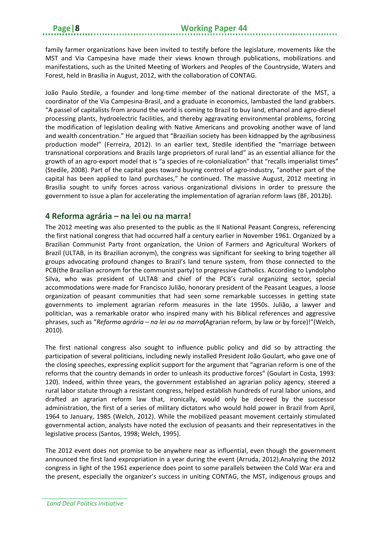family farmer organizations have been invited to testify before the legislature, movements like the MST and Via Campesina have made their views known through publications, mobilizations and manifestations, such as the United Meeting of Workers and Peoples of the Countryside, Waters and Forest, held in Brasília in August, 2012, with the collaboration of CONTAG.

João Paulo Stedile, a founder and long-time member of the national directorate of the MST, a coordinator of the Via Campesina-Brasil, and a graduate in economics, lambasted the land grabbers. "A passel of capitalists from around the world is coming to Brazil to buy land, ethanol and agro-diesel processing plants, hydroelectric facilities, and thereby aggravating environmental problems, forcing the modification of legislation dealing with Native Americans and provoking another wave of land and wealth concentration." He argued that "Brazilian society has been kidnapped by the agribusiness production model" (Ferreira, 2012). In an earlier text, Stedile identified the "marriage between transnational corporations and Brazils large proprietors of rural land" as an essential alliance for the growth of an agro-export model that is "a species of re-colonialization" that "recalls imperialist times" (Stedile, 2008). Part of the capital goes toward buying control of agro-industry, "another part of the capital has been applied to land purchases," he continued. The massive August, 2012 meeting in Brasilia sought to unify forces across various organizational divisions in order to pressure the government to issue a plan for accelerating the implementation of agrarian reform laws (BF, 2012b).

### <span id="page-11-0"></span>**4 Reforma agrária – na lei ou na marra!**

The 2012 meeting was also presented to the public as the II National Peasant Congress, referencing the first national congress that had occurred half a century earlier in November 1961. Organized by a Brazilian Communist Party front organization, the Union of Farmers and Agricultural Workers of Brazil (ULTAB, in its Brazilian acronym), the congress was significant for seeking to bring together all groups advocating profound changes to Brazil's land tenure system, from those connected to the PCB(the Brazilian acronym for the communist party) to progressive Catholics. According to Lyndolpho Silva, who was president of ULTAB and chief of the PCB's rural organizing sector, special accommodations were made for Francisco Julião, honorary president of the Peasant Leagues, a loose organization of peasant communities that had seen some remarkable successes in getting state governments to implement agrarian reform measures in the late 1950s. Julião, a lawyer and politician, was a remarkable orator who inspired many with his Biblical references and aggressive phrases, such as "*Reforma agrária – na lei ou na marra***(**Agrarian reform, by law or by force)!"(Welch, 2010).

The first national congress also sought to influence public policy and did so by attracting the participation of several politicians, including newly installed President João Goulart, who gave one of the closing speeches, expressing explicit support for the argument that "agrarian reform is one of the reforms that the country demands in order to unleash its productive forces" (Goulart in Costa, 1993: 120). Indeed, within three years, the government established an agrarian policy agency, steered a rural labor statute through a resistant congress, helped establish hundreds of rural labor unions, and drafted an agrarian reform law that, ironically, would only be decreed by the successor administration, the first of a series of military dictators who would hold power in Brazil from April, 1964 to January, 1985 (Welch, 2012). While the mobilized peasant movement certainly stimulated governmental action, analysts have noted the exclusion of peasants and their representatives in the legislative process (Santos, 1998; Welch, 1995).

The 2012 event does not promise to be anywhere near as influential, even though the government announced the first land expropriation in a year during the event (Arruda, 2012).Analyzing the 2012 congress in light of the 1961 experience does point to some parallels between the Cold War era and the present, especially the organizer's success in uniting CONTAG, the MST, indigenous groups and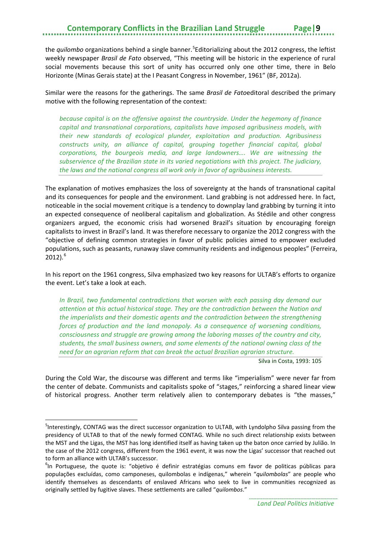## **Contemporary Conflicts in the Brazilian Land Struggle**

the *quilombo* organizations behind a single banner.<sup>[5](#page-12-0)</sup>Editorializing about the 2012 congress, the leftist weekly newspaper *Brasil de Fato* observed, "This meeting will be historic in the experience of rural social movements because this sort of unity has occurred only one other time, there in Belo Horizonte (Minas Gerais state) at the I Peasant Congress in November, 1961" (BF, 2012a).

Similar were the reasons for the gatherings. The same *Brasil de Fato*editoral described the primary motive with the following representation of the context:

*because capital is on the offensive against the countryside. Under the hegemony of finance capital and transnational corporations, capitalists have imposed agribusiness models, with their new standards of ecological plunder, exploitation and production. Agribusiness constructs unity, an alliance of capital, grouping together financial capital, global corporations, the bourgeois media, and large landowners…. We are witnessing the subservience of the Brazilian state in its varied negotiations with this project. The judiciary, the laws and the national congress all work only in favor of agribusiness interests.*

The explanation of motives emphasizes the loss of sovereignty at the hands of transnational capital and its consequences for people and the environment. Land grabbing is not addressed here. In fact, noticeable in the social movement critique is a tendency to downplay land grabbing by turning it into an expected consequence of neoliberal capitalism and globalization. As Stédile and other congress organizers argued, the economic crisis had worsened Brazil's situation by encouraging foreign capitalists to invest in Brazil's land. It was therefore necessary to organize the 2012 congress with the "objective of defining common strategies in favor of public policies aimed to empower excluded populations, such as peasants, runaway slave community residents and indigenous peoples" (Ferreira,  $2012$ ).<sup>[6](#page-12-1)</sup>

In his report on the 1961 congress, Silva emphasized two key reasons for ULTAB's efforts to organize the event. Let's take a look at each.

*In Brazil, two fundamental contradictions that worsen with each passing day demand our attention at this actual historical stage. They are the contradiction between the Nation and the imperialists and their domestic agents and the contradiction between the strengthening forces of production and the land monopoly. As a consequence of worsening conditions, consciousness and struggle are growing among the laboring masses of the country and city, students, the small business owners, and some elements of the national owning class of the need for an agrarian reform that can break the actual Brazilian agrarian structure.*

Silva in Costa, 1993: 105

During the Cold War, the discourse was different and terms like "imperialism" were never far from the center of debate. Communists and capitalists spoke of "stages," reinforcing a shared linear view of historical progress. Another term relatively alien to contemporary debates is "the masses,"

1

<span id="page-12-0"></span><sup>&</sup>lt;sup>5</sup>Interestingly, CONTAG was the direct successor organization to ULTAB, with Lyndolpho Silva passing from the presidency of ULTAB to that of the newly formed CONTAG. While no such direct relationship exists between the MST and the Ligas, the MST has long identified itself as having taken up the baton once carried by Julião. In the case of the 2012 congress, different from the 1961 event, it was now the Ligas' successor that reached out to form an alliance with ULTAB's successor.

<span id="page-12-1"></span><sup>&</sup>lt;sup>6</sup>In Portuguese, the quote is: "objetivo é definir estratégias comuns em favor de politicas públicas para populações excluídas, como camponeses, quilombolas e indígenas," wherein "*quilombolas*" are people who identify themselves as descendants of enslaved Africans who seek to live in communities recognized as originally settled by fugitive slaves. These settlements are called "*quilombos*."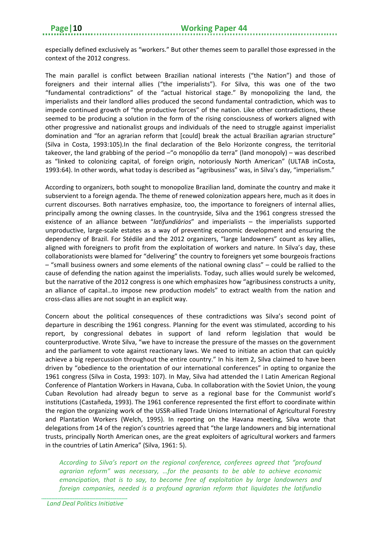especially defined exclusively as "workers." But other themes seem to parallel those expressed in the context of the 2012 congress.

The main parallel is conflict between Brazilian national interests ("the Nation") and those of foreigners and their internal allies ("the imperialists"). For Silva, this was one of the two "fundamental contradictions" of the "actual historical stage." By monopolizing the land, the imperialists and their landlord allies produced the second fundamental contradiction, which was to impede continued growth of "the productive forces" of the nation. Like other contradictions, these seemed to be producing a solution in the form of the rising consciousness of workers aligned with other progressive and nationalist groups and individuals of the need to struggle against imperialist domination and "for an agrarian reform that [could] break the actual Brazilian agrarian structure" (Silva in Costa, 1993:105).In the final declaration of the Belo Horizonte congress, the territorial takeover, the land grabbing of the period –"o monopólio da terra" (land monopoly) – was described as "linked to colonizing capital, of foreign origin, notoriously North American" (ULTAB inCosta, 1993:64). In other words, what today is described as "agribusiness" was, in Silva's day, "imperialism."

According to organizers, both sought to monopolize Brazilian land, dominate the country and make it subservient to a foreign agenda. The theme of renewed colonization appears here, much as it does in current discourses. Both narratives emphasize, too, the importance to foreigners of internal allies, principally among the owning classes. In the countryside, Silva and the 1961 congress stressed the existence of an alliance between "*latifundiários*" and imperialists – the imperialists supported unproductive, large-scale estates as a way of preventing economic development and ensuring the dependency of Brazil. For Stédile and the 2012 organizers, "large landowners" count as key allies, aligned with foreigners to profit from the exploitation of workers and nature. In Silva's day, these collaborationists were blamed for "delivering" the country to foreigners yet some bourgeois fractions – "small business owners and some elements of the national owning class" – could be rallied to the cause of defending the nation against the imperialists. Today, such allies would surely be welcomed, but the narrative of the 2012 congress is one which emphasizes how "agribusiness constructs a unity, an alliance of capital…to impose new production models" to extract wealth from the nation and cross-class allies are not sought in an explicit way.

Concern about the political consequences of these contradictions was Silva's second point of departure in describing the 1961 congress. Planning for the event was stimulated, according to his report, by congressional debates in support of land reform legislation that would be counterproductive. Wrote Silva, "we have to increase the pressure of the masses on the government and the parliament to vote against reactionary laws. We need to initiate an action that can quickly achieve a big repercussion throughout the entire country." In his item 2, Silva claimed to have been driven by "obedience to the orientation of our international conferences" in opting to organize the 1961 congress (Silva in Costa, 1993: 107). In May, Silva had attended the I Latin American Regional Conference of Plantation Workers in Havana, Cuba. In collaboration with the Soviet Union, the young Cuban Revolution had already begun to serve as a regional base for the Communist world's institutions (Castañeda, 1993). The 1961 conference represented the first effort to coordinate within the region the organizing work of the USSR-allied Trade Unions International of Agricultural Forestry and Plantation Workers (Welch, 1995). In reporting on the Havana meeting, Silva wrote that delegations from 14 of the region's countries agreed that "the large landowners and big international trusts, principally North American ones, are the great exploiters of agricultural workers and farmers in the countries of Latin America" (Silva, 1961: 5).

*According to Silva's report on the regional conference, conferees agreed that "profound agrarian reform" was necessary, …for the peasants to be able to achieve economic emancipation, that is to say, to become free of exploitation by large landowners and foreign companies, needed is a profound agrarian reform that liquidates the latifundio*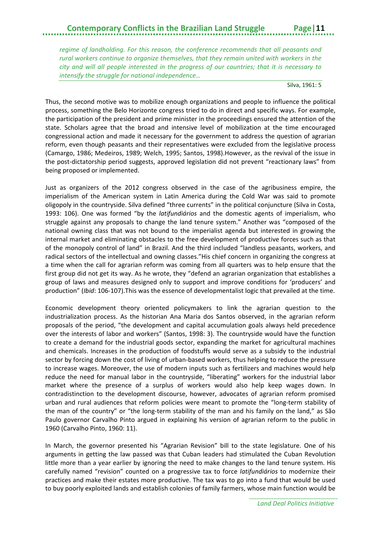### **Contemporary Conflicts in the Brazilian Land Struggle Page|11**

*regime of landholding. For this reason, the conference recommends that all peasants and rural workers continue to organize themselves, that they remain united with workers in the city and will all people interested in the progress of our countries; that it is necessary to intensify the struggle for national independence…* 

Silva, 1961: 5

Thus, the second motive was to mobilize enough organizations and people to influence the political process, something the Belo Horizonte congress tried to do in direct and specific ways. For example, the participation of the president and prime minister in the proceedings ensured the attention of the state. Scholars agree that the broad and intensive level of mobilization at the time encouraged congressional action and made it necessary for the government to address the question of agrarian reform, even though peasants and their representatives were excluded from the legislative process (Camargo, 1986; Medeiros, 1989; Welch, 1995; Santos, 1998).However, as the revival of the issue in the post-dictatorship period suggests, approved legislation did not prevent "reactionary laws" from being proposed or implemented.

Just as organizers of the 2012 congress observed in the case of the agribusiness empire, the imperialism of the American system in Latin America during the Cold War was said to promote oligopoly in the countryside. Silva defined "three currents" in the political conjuncture (Silva in Costa, 1993: 106). One was formed "by the *latifundiários* and the domestic agents of imperialism, who struggle against any proposals to change the land tenure system." Another was "composed of the national owning class that was not bound to the imperialist agenda but interested in growing the internal market and eliminating obstacles to the free development of productive forces such as that of the monopoly control of land" in Brazil. And the third included "landless peasants, workers, and radical sectors of the intellectual and owning classes."His chief concern in organizing the congress at a time when the call for agrarian reform was coming from all quarters was to help ensure that the first group did not get its way. As he wrote, they "defend an agrarian organization that establishes a group of laws and measures designed only to support and improve conditions for 'producers' and production" (*Ibid*: 106-107).This was the essence of developmentalist logic that prevailed at the time.

Economic development theory oriented policymakers to link the agrarian question to the industrialization process. As the historian Ana Maria dos Santos observed, in the agrarian reform proposals of the period, "the development and capital accumulation goals always held precedence over the interests of labor and workers" (Santos, 1998: 3). The countryside would have the function to create a demand for the industrial goods sector, expanding the market for agricultural machines and chemicals. Increases in the production of foodstuffs would serve as a subsidy to the industrial sector by forcing down the cost of living of urban-based workers, thus helping to reduce the pressure to increase wages. Moreover, the use of modern inputs such as fertilizers and machines would help reduce the need for manual labor in the countryside, "liberating" workers for the industrial labor market where the presence of a surplus of workers would also help keep wages down. In contradistinction to the development discourse, however, advocates of agrarian reform promised urban and rural audiences that reform policies were meant to promote the "long-term stability of the man of the country" or "the long-term stability of the man and his family on the land," as São Paulo governor Carvalho Pinto argued in explaining his version of agrarian reform to the public in 1960 (Carvalho Pinto, 1960: 11).

In March, the governor presented his "Agrarian Revision" bill to the state legislature. One of his arguments in getting the law passed was that Cuban leaders had stimulated the Cuban Revolution little more than a year earlier by ignoring the need to make changes to the land tenure system. His carefully named "revision" counted on a progressive tax to force *latifundiários* to modernize their practices and make their estates more productive. The tax was to go into a fund that would be used to buy poorly exploited lands and establish colonies of family farmers, whose main function would be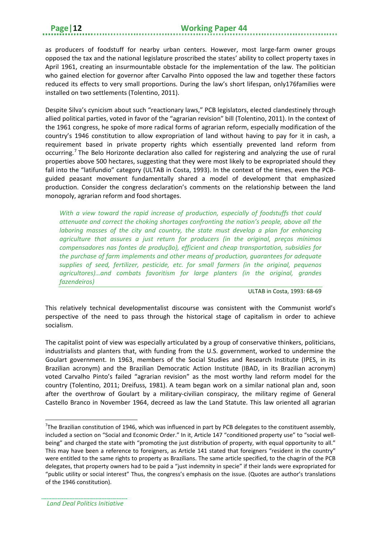as producers of foodstuff for nearby urban centers. However, most large-farm owner groups opposed the tax and the national legislature proscribed the states' ability to collect property taxes in April 1961, creating an insurmountable obstacle for the implementation of the law. The politician who gained election for governor after Carvalho Pinto opposed the law and together these factors reduced its effects to very small proportions. During the law's short lifespan, only176families were installed on two settlements (Tolentino, 2011).

Despite Silva's cynicism about such "reactionary laws," PCB legislators, elected clandestinely through allied political parties, voted in favor of the "agrarian revision" bill (Tolentino, 2011). In the context of the 1961 congress, he spoke of more radical forms of agrarian reform, especially modification of the country's 1946 constitution to allow expropriation of land without having to pay for it in cash, a requirement based in private property rights which essentially prevented land reform from occurring.[7](#page-15-0) The Belo Horizonte declaration also called for registering and analyzing the use of rural properties above 500 hectares, suggesting that they were most likely to be expropriated should they fall into the "latifundio" category (ULTAB in Costa, 1993). In the context of the times, even the PCBguided peasant movement fundamentally shared a model of development that emphasized production. Consider the congress declaration's comments on the relationship between the land monopoly, agrarian reform and food shortages.

*With a view toward the rapid increase of production, especially of foodstuffs that could attenuate and correct the choking shortages confronting the nation's people, above all the laboring masses of the city and country, the state must develop a plan for enhancing agriculture that assures a just return for producers (in the original, preços mínimos compensadores nas fontes de produção), efficient and cheap transportation, subsidies for the purchase of farm implements and other means of production, guarantees for adequate supplies of seed, fertilizer, pesticide, etc. for small farmers (in the original, pequenos agricultores)…and combats favoritism for large planters (in the original, grandes fazendeiros)*

ULTAB in Costa, 1993: 68-69

This relatively technical developmentalist discourse was consistent with the Communist world's perspective of the need to pass through the historical stage of capitalism in order to achieve socialism.

The capitalist point of view was especially articulated by a group of conservative thinkers, politicians, industrialists and planters that, with funding from the U.S. government, worked to undermine the Goulart government. In 1963, members of the Social Studies and Research Institute (IPES, in its Brazilian acronym) and the Brazilian Democratic Action Institute (IBAD, in its Brazilian acronym) voted Carvalho Pinto's failed "agrarian revision" as the most worthy land reform model for the country (Tolentino, 2011; Dreifuss, 1981). A team began work on a similar national plan and, soon after the overthrow of Goulart by a military-civilian conspiracy, the military regime of General Castello Branco in November 1964, decreed as law the Land Statute. This law oriented all agrarian

1

<span id="page-15-0"></span><sup>&</sup>lt;sup>7</sup>The Brazilian constitution of 1946, which was influenced in part by PCB delegates to the constituent assembly, included a section on "Social and Economic Order." In it, Article 147 "conditioned property use" to "social wellbeing" and charged the state with "promoting the just distribution of property, with equal opportunity to all." This may have been a reference to foreigners, as Article 141 stated that foreigners "resident in the country" were entitled to the same rights to property as Brazilians. The same article specified, to the chagrin of the PCB delegates, that property owners had to be paid a "just indemnity in specie" if their lands were expropriated for "public utility or social interest" Thus, the congress's emphasis on the issue. (Quotes are author's translations of the 1946 constitution).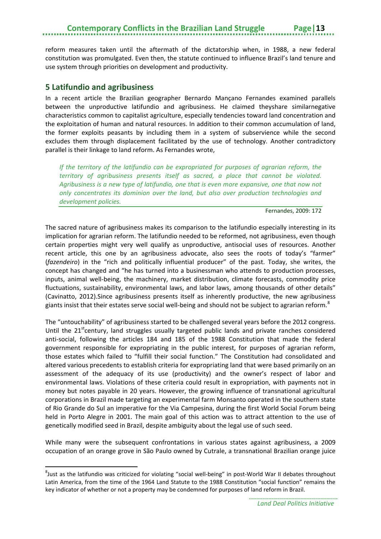reform measures taken until the aftermath of the dictatorship when, in 1988, a new federal constitution was promulgated. Even then, the statute continued to influence Brazil's land tenure and use system through priorities on development and productivity.

#### <span id="page-16-0"></span>**5 Latifundio and agribusiness**

**.** 

In a recent article the Brazilian geographer Bernardo Mançano Fernandes examined parallels between the unproductive latifundio and agribusiness. He claimed theyshare similarnegative characteristics common to capitalist agriculture, especially tendencies toward land concentration and the exploitation of human and natural resources. In addition to their common accumulation of land, the former exploits peasants by including them in a system of subservience while the second excludes them through displacement facilitated by the use of technology. Another contradictory parallel is their linkage to land reform. As Fernandes wrote,

*If the territory of the latifundio can be expropriated for purposes of agrarian reform, the territory of agribusiness presents itself as sacred, a place that cannot be violated. Agribusiness is a new type of latifundio, one that is even more expansive, one that now not only concentrates its dominion over the land, but also over production technologies and development policies.*

Fernandes, 2009: 172

The sacred nature of agribusiness makes its comparison to the latifundio especially interesting in its implication for agrarian reform. The latifundio needed to be reformed, not agribusiness, even though certain properties might very well qualify as unproductive, antisocial uses of resources. Another recent article, this one by an agribusiness advocate, also sees the roots of today's "farmer" (*fazendeiro*) in the "rich and politically influential producer" of the past. Today, she writes, the concept has changed and "he has turned into a businessman who attends to production processes, inputs, animal well-being, the machinery, market distribution, climate forecasts, commodity price fluctuations, sustainability, environmental laws, and labor laws, among thousands of other details" (Cavinatto, 2012).Since agribusiness presents itself as inherently productive, the new agribusiness giants insist that their estates serve social well-being and should not be subject to agrarian reform.<sup>[8](#page-16-1)</sup>

The "untouchability" of agribusiness started to be challenged several years before the 2012 congress. Until the  $21<sup>st</sup>$  century, land struggles usually targeted public lands and private ranches considered anti-social, following the articles 184 and 185 of the 1988 Constitution that made the federal government responsible for expropriating in the public interest, for purposes of agrarian reform, those estates which failed to "fulfill their social function." The Constitution had consolidated and altered various precedents to establish criteria for expropriating land that were based primarily on an assessment of the adequacy of its use (productivity) and the owner's respect of labor and environmental laws. Violations of these criteria could result in expropriation, with payments not in money but notes payable in 20 years. However, the growing influence of transnational agricultural corporations in Brazil made targeting an experimental farm Monsanto operated in the southern state of Rio Grande do Sul an imperative for the Via Campesina, during the first World Social Forum being held in Porto Alegre in 2001. The main goal of this action was to attract attention to the use of genetically modified seed in Brazil, despite ambiguity about the legal use of such seed.

While many were the subsequent confrontations in various states against agribusiness, a 2009 occupation of an orange grove in São Paulo owned by Cutrale, a transnational Brazilian orange juice

<span id="page-16-1"></span> ${}^{8}$ Just as the latifundio was criticized for violating "social well-being" in post-World War II debates throughout Latin America, from the time of the 1964 Land Statute to the 1988 Constitution "social function" remains the key indicator of whether or not a property may be condemned for purposes of land reform in Brazil.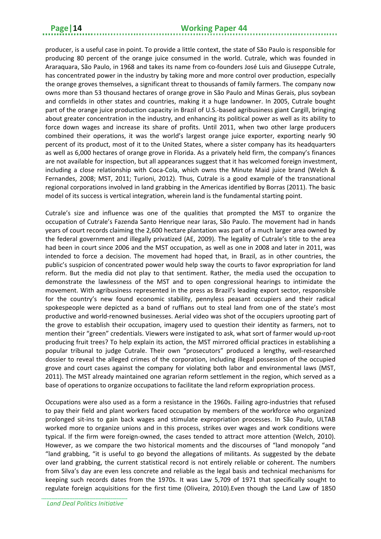producer, is a useful case in point. To provide a little context, the state of São Paulo is responsible for producing 80 percent of the orange juice consumed in the world. Cutrale, which was founded in Araraquara, São Paulo, in 1968 and takes its name from co-founders José Luis and Giuseppe Cutrale, has concentrated power in the industry by taking more and more control over production, especially the orange groves themselves, a significant threat to thousands of family farmers. The company now owns more than 53 thousand hectares of orange grove in São Paulo and Minas Gerais, plus soybean and cornfields in other states and countries, making it a huge landowner. In 2005, Cutrale bought part of the orange juice production capacity in Brazil of U.S.-based agribusiness giant Cargill, bringing about greater concentration in the industry, and enhancing its political power as well as its ability to force down wages and increase its share of profits. Until 2011, when two other large producers combined their operations, it was the world's largest orange juice exporter, exporting nearly 90 percent of its product, most of it to the United States, where a sister company has its headquarters as well as 6,000 hectares of orange grove in Florida. As a privately held firm, the company's finances are not available for inspection, but all appearances suggest that it has welcomed foreign investment, including a close relationship with Coca-Cola, which owns the Minute Maid juice brand (Welch & Fernandes, 2008; MST, 2011; Turioni, 2012). Thus, Cutrale is a good example of the transnational regional corporations involved in land grabbing in the Americas identified by Borras (2011). The basic model of its success is vertical integration, wherein land is the fundamental starting point.

Cutrale's size and influence was one of the qualities that prompted the MST to organize the occupation of Cutrale's Fazenda Santo Henrique near Iaras, São Paulo. The movement had in hands years of court records claiming the 2,600 hectare plantation was part of a much larger area owned by the federal government and illegally privatized (AE, 2009). The legality of Cutrale's title to the area had been in court since 2006 and the MST occupation, as well as one in 2008 and later in 2011, was intended to force a decision. The movement had hoped that, in Brazil, as in other countries, the public's suspicion of concentrated power would help sway the courts to favor expropriation for land reform. But the media did not play to that sentiment. Rather, the media used the occupation to demonstrate the lawlessness of the MST and to open congressional hearings to intimidate the movement. With agribusiness represented in the press as Brazil's leading export sector, responsible for the country's new found economic stability, pennyless peasant occupiers and their radical spokespeople were depicted as a band of ruffians out to steal land from one of the state's most productive and world-renowned businesses. Aerial video was shot of the occupiers uprooting part of the grove to establish their occupation, imagery used to question their identity as farmers, not to mention their "green" credentials. Viewers were instigated to ask, what sort of farmer would up-root producing fruit trees? To help explain its action, the MST mirrored official practices in establishing a popular tribunal to judge Cutrale. Their own "prosecutors" produced a lengthy, well-researched dossier to reveal the alleged crimes of the corporation, including illegal possession of the occupied grove and court cases against the company for violating both labor and environmental laws (MST, 2011). The MST already maintained one agrarian reform settlement in the region, which served as a base of operations to organize occupations to facilitate the land reform expropriation process.

Occupations were also used as a form a resistance in the 1960s. Failing agro-industries that refused to pay their field and plant workers faced occupation by members of the workforce who organized prolonged sit-ins to gain back wages and stimulate expropriation processes. In São Paulo, ULTAB worked more to organize unions and in this process, strikes over wages and work conditions were typical. If the firm were foreign-owned, the cases tended to attract more attention (Welch, 2010). However, as we compare the two historical moments and the discourses of "land monopoly "and "land grabbing, "it is useful to go beyond the allegations of militants. As suggested by the debate over land grabbing, the current statistical record is not entirely reliable or coherent. The numbers from Silva's day are even less concrete and reliable as the legal basis and technical mechanisms for keeping such records dates from the 1970s. It was Law 5,709 of 1971 that specifically sought to regulate foreign acquisitions for the first time (Oliveira, 2010).Even though the Land Law of 1850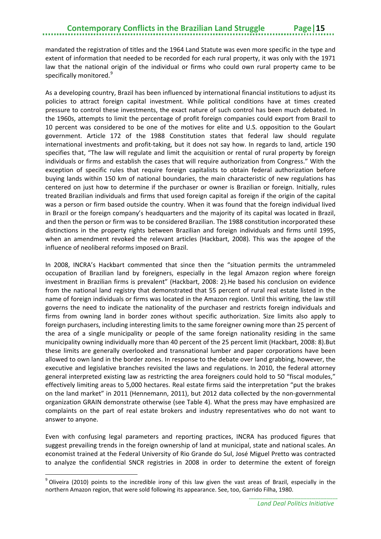mandated the registration of titles and the 1964 Land Statute was even more specific in the type and extent of information that needed to be recorded for each rural property, it was only with the 1971 law that the national origin of the individual or firms who could own rural property came to be specifically monitored.<sup>[9](#page-18-0)</sup>

As a developing country, Brazil has been influenced by international financial institutions to adjust its policies to attract foreign capital investment. While political conditions have at times created pressure to control these investments, the exact nature of such control has been much debated. In the 1960s, attempts to limit the percentage of profit foreign companies could export from Brazil to 10 percent was considered to be one of the motives for elite and U.S. opposition to the Goulart government. Article 172 of the 1988 Constitution states that federal law should regulate international investments and profit-taking, but it does not say how. In regards to land, article 190 specifies that, "The law will regulate and limit the acquisition or rental of rural property by foreign individuals or firms and establish the cases that will require authorization from Congress." With the exception of specific rules that require foreign capitalists to obtain federal authorization before buying lands within 150 km of national boundaries, the main characteristic of new regulations has centered on just how to determine if the purchaser or owner is Brazilian or foreign. Initially, rules treated Brazilian individuals and firms that used foreign capital as foreign if the origin of the capital was a person or firm based outside the country. When it was found that the foreign individual lived in Brazil or the foreign company's headquarters and the majority of its capital was located in Brazil, and then the person or firm was to be considered Brazilian. The 1988 constitution incorporated these distinctions in the property rights between Brazilian and foreign individuals and firms until 1995, when an amendment revoked the relevant articles (Hackbart, 2008). This was the apogee of the influence of neoliberal reforms imposed on Brazil.

In 2008, INCRA's Hackbart commented that since then the "situation permits the untrammeled occupation of Brazilian land by foreigners, especially in the legal Amazon region where foreign investment in Brazilian firms is prevalent" (Hackbart, 2008: 2).He based his conclusion on evidence from the national land registry that demonstrated that 55 percent of rural real estate listed in the name of foreign individuals or firms was located in the Amazon region. Until this writing, the law still governs the need to indicate the nationality of the purchaser and restricts foreign individuals and firms from owning land in border zones without specific authorization. Size limits also apply to foreign purchasers, including interesting limits to the same foreigner owning more than 25 percent of the area of a single municipality or people of the same foreign nationality residing in the same municipality owning individually more than 40 percent of the 25 percent limit (Hackbart, 2008: 8).But these limits are generally overlooked and transnational lumber and paper corporations have been allowed to own land in the border zones. In response to the debate over land grabbing, however, the executive and legislative branches revisited the laws and regulations. In 2010, the federal attorney general interpreted existing law as restricting the area foreigners could hold to 50 "fiscal modules," effectively limiting areas to 5,000 hectares. Real estate firms said the interpretation "put the brakes on the land market" in 2011 (Hennemann, 2011), but 2012 data collected by the non-governmental organization GRAIN demonstrate otherwise (see Table 4). What the press may have emphasized are complaints on the part of real estate brokers and industry representatives who do not want to answer to anyone.

Even with confusing legal parameters and reporting practices, INCRA has produced figures that suggest prevailing trends in the foreign ownership of land at municipal, state and national scales. An economist trained at the Federal University of Rio Grande do Sul, José Miguel Pretto was contracted to analyze the confidential SNCR registries in 2008 in order to determine the extent of foreign

**.** 

<span id="page-18-0"></span><sup>&</sup>lt;sup>9</sup> Oliveira (2010) points to the incredible irony of this law given the vast areas of Brazil, especially in the northern Amazon region, that were sold following its appearance. See, too, Garrido Filha, 1980.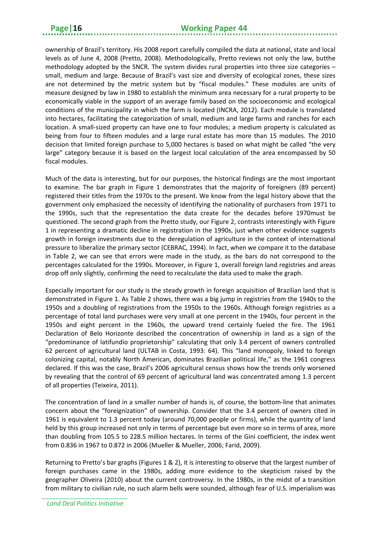ownership of Brazil's territory. His 2008 report carefully compiled the data at national, state and local levels as of June 4, 2008 (Pretto, 2008). Methodologically, Pretto reviews not only the law, butthe methodology adopted by the SNCR. The system divides rural properties into three size categories – small, medium and large. Because of Brazil's vast size and diversity of ecological zones, these sizes are not determined by the metric system but by "fiscal modules." These modules are units of measure designed by law in 1980 to establish the minimum area necessary for a rural property to be economically viable in the support of an average family based on the socioeconomic and ecological conditions of the municipality in which the farm is located (INCRA, 2012). Each module is translated into hectares, facilitating the categorization of small, medium and large farms and ranches for each location. A small-sized property can have one to four modules; a medium property is calculated as being from four to fifteen modules and a large rural estate has more than 15 modules. The 2010 decision that limited foreign purchase to 5,000 hectares is based on what might be called "the very large" category because it is based on the largest local calculation of the area encompassed by 50 fiscal modules.

Much of the data is interesting, but for our purposes, the historical findings are the most important to examine. The bar graph in Figure 1 demonstrates that the majority of foreigners (89 percent) registered their titles from the 1970s to the present. We know from the legal history above that the government only emphasized the necessity of identifying the nationality of purchasers from 1971 to the 1990s, such that the representation the data create for the decades before 1970must be questioned. The second graph from the Pretto study, our Figure 2, contrasts interestingly with Figure 1 in representing a dramatic decline in registration in the 1990s, just when other evidence suggests growth in foreign investments due to the deregulation of agriculture in the context of international pressure to liberalize the primary sector (CEBRAC, 1994). In fact, when we compare it to the database in Table 2, we can see that errors were made in the study, as the bars do not correspond to the percentages calculated for the 1990s. Moreover, in Figure 1, overall foreign land registries and areas drop off only slightly, confirming the need to recalculate the data used to make the graph.

Especially important for our study is the steady growth in foreign acquisition of Brazilian land that is demonstrated in Figure 1. As Table 2 shows, there was a big jump in registries from the 1940s to the 1950s and a doubling of registrations from the 1950s to the 1960s. Although foreign registries as a percentage of total land purchases were very small at one percent in the 1940s, four percent in the 1950s and eight percent in the 1960s, the upward trend certainly fueled the fire. The 1961 Declaration of Belo Horizonte described the concentration of ownership in land as a sign of the "predominance of latifundio proprietorship" calculating that only 3.4 percent of owners controlled 62 percent of agricultural land (ULTAB in Costa, 1993: 64). This "land monopoly, linked to foreign colonizing capital, notably North American, dominates Brazilian political life," as the 1961 congress declared. If this was the case, Brazil's 2006 agricultural census shows how the trends only worsened by revealing that the control of 69 percent of agricultural land was concentrated among 1.3 percent of all properties (Teixeira, 2011).

The concentration of land in a smaller number of hands is, of course, the bottom-line that animates concern about the "foreignization" of ownership. Consider that the 3.4 percent of owners cited in 1961 is equivalent to 1.3 percent today (around 70,000 people or firms), while the quantity of land held by this group increased not only in terms of percentage but even more so in terms of area, more than doubling from 105.5 to 228.5 million hectares. In terms of the Gini coefficient, the index went from 0.836 in 1967 to 0.872 in 2006 (Mueller & Mueller, 2006; Farid, 2009).

Returning to Pretto's bar graphs (Figures 1 & 2), it is interesting to observe that the largest number of foreign purchases came in the 1980s, adding more evidence to the skepticism raised by the geographer Oliveira (2010) about the current controversy. In the 1980s, in the midst of a transition from military to civilian rule, no such alarm bells were sounded, although fear of U.S. imperialism was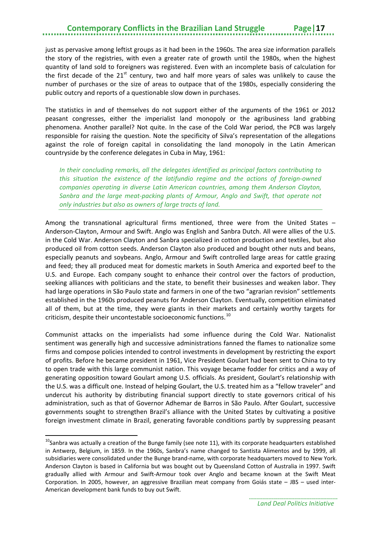# **Contemporary Conflicts in the Brazilian Land Struggle**

just as pervasive among leftist groups as it had been in the 1960s. The area size information parallels the story of the registries, with even a greater rate of growth until the 1980s, when the highest quantity of land sold to foreigners was registered. Even with an incomplete basis of calculation for the first decade of the  $21<sup>st</sup>$  century, two and half more years of sales was unlikely to cause the number of purchases or the size of areas to outpace that of the 1980s, especially considering the public outcry and reports of a questionable slow down in purchases.

The statistics in and of themselves do not support either of the arguments of the 1961 or 2012 peasant congresses, either the imperialist land monopoly or the agribusiness land grabbing phenomena. Another parallel? Not quite. In the case of the Cold War period, the PCB was largely responsible for raising the question. Note the specificity of Silva's representation of the allegations against the role of foreign capital in consolidating the land monopoly in the Latin American countryside by the conference delegates in Cuba in May, 1961:

*In their concluding remarks, all the delegates identified as principal factors contributing to this situation the existence of the latifundio regime and the actions of foreign-owned companies operating in diverse Latin American countries, among them Anderson Clayton, Sanbra and the large meat-packing plants of Armour, Anglo and Swift, that operate not only industries but also as owners of large tracts of land.* 

Among the transnational agricultural firms mentioned, three were from the United States – Anderson-Clayton, Armour and Swift. Anglo was English and Sanbra Dutch. All were allies of the U.S. in the Cold War. Anderson Clayton and Sanbra specialized in cotton production and textiles, but also produced oil from cotton seeds. Anderson Clayton also produced and bought other nuts and beans, especially peanuts and soybeans. Anglo, Armour and Swift controlled large areas for cattle grazing and feed; they all produced meat for domestic markets in South America and exported beef to the U.S. and Europe. Each company sought to enhance their control over the factors of production, seeking alliances with politicians and the state, to benefit their businesses and weaken labor. They had large operations in São Paulo state and farmers in one of the two "agrarian revision" settlements established in the 1960s produced peanuts for Anderson Clayton. Eventually, competition eliminated all of them, but at the time, they were giants in their markets and certainly worthy targets for criticism, despite their uncontestable socioeconomic functions. [10](#page-20-0)

Communist attacks on the imperialists had some influence during the Cold War. Nationalist sentiment was generally high and successive administrations fanned the flames to nationalize some firms and compose policies intended to control investments in development by restricting the export of profits. Before he became president in 1961, Vice President Goulart had been sent to China to try to open trade with this large communist nation. This voyage became fodder for critics and a way of generating opposition toward Goulart among U.S. officials. As president, Goulart's relationship with the U.S. was a difficult one. Instead of helping Goulart, the U.S. treated him as a "fellow traveler" and undercut his authority by distributing financial support directly to state governors critical of his administration, such as that of Governor Adhemar de Barros in São Paulo. After Goulart, successive governments sought to strengthen Brazil's alliance with the United States by cultivating a positive foreign investment climate in Brazil, generating favorable conditions partly by suppressing peasant

 $\overline{a}$ 

<span id="page-20-0"></span> $10$ Sanbra was actually a creation of the Bunge family (see note 11), with its corporate headquarters established in Antwerp, Belgium, in 1859. In the 1960s, Sanbra's name changed to Santista Alimentos and by 1999, all subsidiaries were consolidated under the Bunge brand-name, with corporate headquarters moved to New York. Anderson Clayton is based in California but was bought out by Queensland Cotton of Australia in 1997. Swift gradually allied with Armour and Swift-Armour took over Anglo and became known at the Swift Meat Corporation. In 2005, however, an aggressive Brazilian meat company from Goiás state – JBS – used inter-American development bank funds to buy out Swift.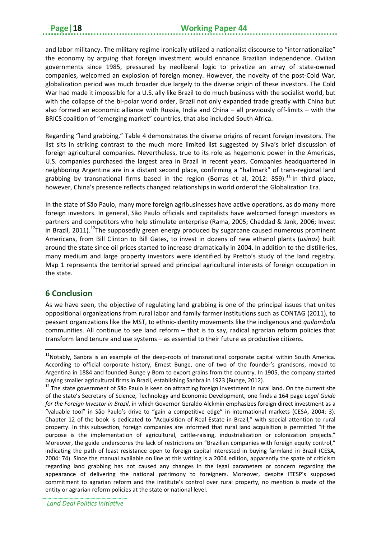and labor militancy. The military regime ironically utilized a nationalist discourse to "internationalize" the economy by arguing that foreign investment would enhance Brazilian independence. Civilian governments since 1985, pressured by neoliberal logic to privatize an array of state-owned companies, welcomed an explosion of foreign money. However, the novelty of the post-Cold War, globalization period was much broader due largely to the diverse origin of these investors. The Cold War had made it impossible for a U.S. ally like Brazil to do much business with the socialist world, but with the collapse of the bi-polar world order, Brazil not only expanded trade greatly with China but also formed an economic alliance with Russia, India and China – all previously off-limits – with the BRICS coalition of "emerging market" countries, that also included South Africa.

Regarding "land grabbing," Table 4 demonstrates the diverse origins of recent foreign investors. The list sits in striking contrast to the much more limited list suggested by Silva's brief discussion of foreign agricultural companies. Nevertheless, true to its role as hegemonic power in the Americas, U.S. companies purchased the largest area in Brazil in recent years. Companies headquartered in neighboring Argentina are in a distant second place, confirming a "hallmark" of trans-regional land grabbing by transnational firms based in the region (Borras et al, 2012: 859).<sup>[11](#page-21-1)</sup> In third place, however, China's presence reflects changed relationships in world orderof the Globalization Era.

In the state of São Paulo, many more foreign agribusinesses have active operations, as do many more foreign investors. In general, São Paulo officials and capitalists have welcomed foreign investors as partners and competitors who help stimulate enterprise (Rama, 2005; Chaddad & Jank, 2006; Invest in Brazil, 2011).<sup>12</sup>The supposedly green energy produced by sugarcane caused numerous prominent Americans, from Bill Clinton to Bill Gates, to invest in dozens of new ethanol plants (*usinas*) built around the state since oil prices started to increase dramatically in 2004. In addition to the distilleries, many medium and large property investors were identified by Pretto's study of the land registry. Map 1 represents the territorial spread and principal agricultural interests of foreign occupation in the state.

### <span id="page-21-0"></span>**6 Conclusion**

**.** 

As we have seen, the objective of regulating land grabbing is one of the principal issues that unites oppositional organizations from rural labor and family farmer institutions such as CONTAG (2011), to peasant organizations like the MST, to ethnic-identity movements like the indigenous and *quilombola* communities. All continue to see land reform – that is to say, radical agrarian reform policies that transform land tenure and use systems – as essential to their future as productive citizens.

<span id="page-21-1"></span><sup>&</sup>lt;sup>11</sup>Notably, Sanbra is an example of the deep-roots of transnational corporate capital within South America. According to official corporate history, Ernest Bunge, one of two of the founder's grandsons, moved to Argentina in 1884 and founded Bunge y Born to export grains from the country. In 1905, the company started buying smaller agricultural firms in Brazil, establishing Sanbra in 1923 (Bunge, 2012).<br><sup>12</sup> The state government of São Paulo is keen on attracting foreign investment in rural land. On the current site

<span id="page-21-2"></span>of the state's Secretary of Science, Technology and Economic Development, one finds a 164 page *Legal Guide for the Foreign Investor in Brazil*, in which Governor Geraldo Alckmin emphasizes foreign direct investment as a "valuable tool" in São Paulo's drive to "gain a competitive edge" in international markets (CESA, 2004: 3). Chapter 12 of the book is dedicated to "Acquisition of Real Estate in Brazil," with special attention to rural property. In this subsection, foreign companies are informed that rural land acquisition is permitted "if the purpose is the implementation of agricultural, cattle-raising, industrialization or colonization projects." Moreover, the guide underscores the lack of restrictions on "Brazilian companies with foreign equity control," indicating the path of least resistance open to foreign capital interested in buying farmland in Brazil (CESA, 2004: 74). Since the manual available on line at this writing is a 2004 edition, apparently the spate of criticism regarding land grabbing has not caused any changes in the legal parameters or concern regarding the appearance of delivering the national patrimony to foreigners. Moreover, despite ITESP's supposed commitment to agrarian reform and the institute's control over rural property, no mention is made of the entity or agrarian reform policies at the state or national level.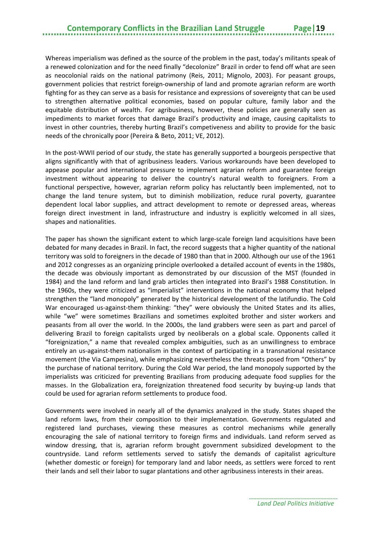Whereas imperialism was defined as the source of the problem in the past, today's militants speak of a renewed colonization and for the need finally "decolonize" Brazil in order to fend off what are seen as neocolonial raids on the national patrimony (Reis, 2011; Mignolo, 2003). For peasant groups, government policies that restrict foreign-ownership of land and promote agrarian reform are worth fighting for as they can serve as a basis for resistance and expressions of sovereignty that can be used to strengthen alternative political economies, based on popular culture, family labor and the equitable distribution of wealth. For agribusiness, however, these policies are generally seen as impediments to market forces that damage Brazil's productivity and image, causing capitalists to invest in other countries, thereby hurting Brazil's competiveness and ability to provide for the basic needs of the chronically poor (Pereira & Beto, 2011; VE, 2012).

In the post-WWII period of our study, the state has generally supported a bourgeois perspective that aligns significantly with that of agribusiness leaders. Various workarounds have been developed to appease popular and international pressure to implement agrarian reform and guarantee foreign investment without appearing to deliver the country's natural wealth to foreigners. From a functional perspective, however, agrarian reform policy has reluctantly been implemented, not to change the land tenure system, but to diminish mobilization, reduce rural poverty, guarantee dependent local labor supplies, and attract development to remote or depressed areas, whereas foreign direct investment in land, infrastructure and industry is explicitly welcomed in all sizes, shapes and nationalities.

The paper has shown the significant extent to which large-scale foreign land acquisitions have been debated for many decades in Brazil. In fact, the record suggests that a higher quantity of the national territory was sold to foreigners in the decade of 1980 than that in 2000. Although our use of the 1961 and 2012 congresses as an organizing principle overlooked a detailed account of events in the 1980s, the decade was obviously important as demonstrated by our discussion of the MST (founded in 1984) and the land reform and land grab articles then integrated into Brazil's 1988 Constitution. In the 1960s, they were criticized as "imperialist" interventions in the national economy that helped strengthen the "land monopoly" generated by the historical development of the latifundio. The Cold War encouraged us-against-them thinking: "they" were obviously the United States and its allies, while "we" were sometimes Brazilians and sometimes exploited brother and sister workers and peasants from all over the world. In the 2000s, the land grabbers were seen as part and parcel of delivering Brazil to foreign capitalists urged by neoliberals on a global scale. Opponents called it "foreignization," a name that revealed complex ambiguities, such as an unwillingness to embrace entirely an us-against-them nationalism in the context of participating in a transnational resistance movement (the Via Campesina), while emphasizing nevertheless the threats posed from "Others" by the purchase of national territory. During the Cold War period, the land monopoly supported by the imperialists was criticized for preventing Brazilians from producing adequate food supplies for the masses. In the Globalization era, foreignization threatened food security by buying-up lands that could be used for agrarian reform settlements to produce food.

Governments were involved in nearly all of the dynamics analyzed in the study. States shaped the land reform laws, from their composition to their implementation. Governments regulated and registered land purchases, viewing these measures as control mechanisms while generally encouraging the sale of national territory to foreign firms and individuals. Land reform served as window dressing, that is, agrarian reform brought government subsidized development to the countryside. Land reform settlements served to satisfy the demands of capitalist agriculture (whether domestic or foreign) for temporary land and labor needs, as settlers were forced to rent their lands and sell their labor to sugar plantations and other agribusiness interests in their areas.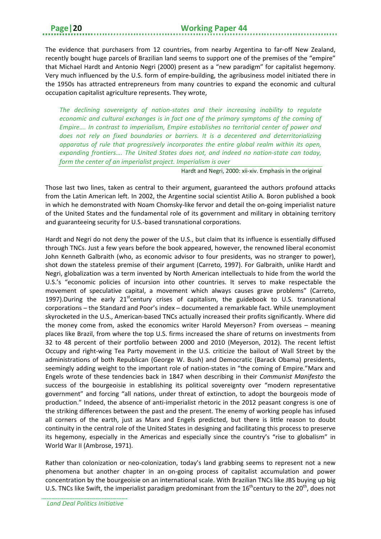The evidence that purchasers from 12 countries, from nearby Argentina to far-off New Zealand, recently bought huge parcels of Brazilian land seems to support one of the premises of the "empire" that Michael Hardt and Antonio Negri (2000) present as a "new paradigm" for capitalist hegemony. Very much influenced by the U.S. form of empire-building, the agribusiness model initiated there in the 1950s has attracted entrepreneurs from many countries to expand the economic and cultural occupation capitalist agriculture represents. They wrote,

*The declining sovereignty of nation-states and their increasing inability to regulate economic and cultural exchanges is in fact one of the primary symptoms of the coming of Empire…. In contrast to imperialism, Empire establishes no territorial center of power and does not rely on fixed boundaries or barriers. It is a decentered and deterritorializing apparatus of rule that progressively incorporates the entire global realm within its open, expanding frontiers…. The United States does not, and indeed no nation-state can today, form the center of an imperialist project. Imperialism is over* 

Hardt and Negri, 2000: xii-xiv. Emphasis in the original

Those last two lines, taken as central to their argument, guaranteed the authors profound attacks from the Latin American left. In 2002, the Argentine social scientist Atilio A. Boron published a book in which he demonstrated with Noam Chomsky-like fervor and detail the on-going imperialist nature of the United States and the fundamental role of its government and military in obtaining territory and guaranteeing security for U.S.-based transnational corporations.

Hardt and Negri do not deny the power of the U.S., but claim that its influence is essentially diffused through TNCs. Just a few years before the book appeared, however, the renowned liberal economist John Kenneth Galbraith (who, as economic advisor to four presidents, was no stranger to power), shot down the stateless premise of their argument (Carreto, 1997). For Galbraith, unlike Hardt and Negri, globalization was a term invented by North American intellectuals to hide from the world the U.S.'s "economic policies of incursion into other countries. It serves to make respectable the movement of speculative capital, a movement which always causes grave problems" (Carreto, 1997).During the early  $21<sup>st</sup>$ century crises of capitalism, the guidebook to U.S. transnational corporations – the Standard and Poor's index – documented a remarkable fact. While unemployment skyrocketed in the U.S., American-based TNCs actually increased their profits significantly. Where did the money come from, asked the economics writer Harold Meyerson? From overseas – meaning places like Brazil, from where the top U.S. firms increased the share of returns on investments from 32 to 48 percent of their portfolio between 2000 and 2010 (Meyerson, 2012). The recent leftist Occupy and right-wing Tea Party movement in the U.S. criticize the bailout of Wall Street by the administrations of both Republican (George W. Bush) and Democratic (Barack Obama) presidents, seemingly adding weight to the important role of nation-states in "the coming of Empire."Marx and Engels wrote of these tendencies back in 1847 when describing in their *Communist Manifesto* the success of the bourgeoisie in establishing its political sovereignty over "modern representative government" and forcing "all nations, under threat of extinction, to adopt the bourgeois mode of production." Indeed, the absence of anti-imperialist rhetoric in the 2012 peasant congress is one of the striking differences between the past and the present. The enemy of working people has infused all corners of the earth, just as Marx and Engels predicted, but there is little reason to doubt continuity in the central role of the United States in designing and facilitating this process to preserve its hegemony, especially in the Americas and especially since the country's "rise to globalism" in World War II (Ambrose, 1971).

Rather than colonization or neo-colonization, today's land grabbing seems to represent not a new phenomena but another chapter in an on-going process of capitalist accumulation and power concentration by the bourgeoisie on an international scale. With Brazilian TNCs like JBS buying up big U.S. TNCs like Swift, the imperialist paradigm predominant from the  $16^{th}$ century to the  $20^{th}$ , does not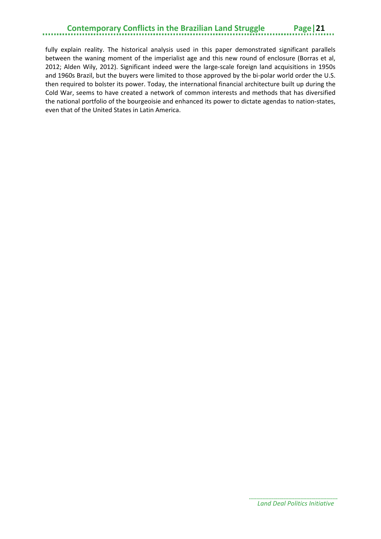### **Contemporary Conflicts in the Brazilian Land Struggle Page|21**

fully explain reality. The historical analysis used in this paper demonstrated significant parallels between the waning moment of the imperialist age and this new round of enclosure (Borras et al, 2012; Alden Wily, 2012). Significant indeed were the large-scale foreign land acquisitions in 1950s and 1960s Brazil, but the buyers were limited to those approved by the bi-polar world order the U.S. then required to bolster its power. Today, the international financial architecture built up during the Cold War, seems to have created a network of common interests and methods that has diversified the national portfolio of the bourgeoisie and enhanced its power to dictate agendas to nation-states, even that of the United States in Latin America.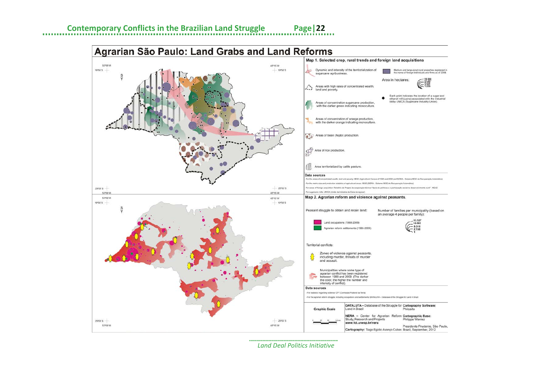

*Land Deal Politics Initiative*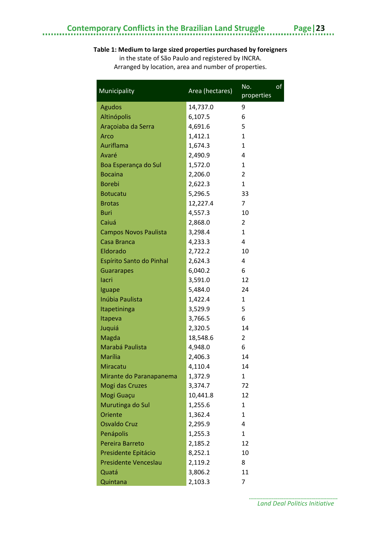### **Table 1: Medium to large sized properties purchased by foreigners**

in the state of São Paulo and registered by INCRA. Arranged by location, area and number of properties.

| Municipality                 | Area (hectares) | of<br>No.<br>properties |
|------------------------------|-----------------|-------------------------|
| <b>Agudos</b>                | 14,737.0        | 9                       |
| Altinópolis                  | 6,107.5         | 6                       |
| Araçoiaba da Serra           | 4,691.6         | 5                       |
| Arco                         | 1,412.1         | $\mathbf{1}$            |
| Auriflama                    | 1,674.3         | $\mathbf{1}$            |
| Avaré                        | 2,490.9         | 4                       |
| Boa Esperança do Sul         | 1,572.0         | 1                       |
| <b>Bocaina</b>               | 2,206.0         | $\overline{2}$          |
| <b>Borebi</b>                | 2,622.3         | $\mathbf{1}$            |
| <b>Botucatu</b>              | 5,296.5         | 33                      |
| <b>Brotas</b>                | 12,227.4        | 7                       |
| <b>Buri</b>                  | 4,557.3         | 10                      |
| Caiuá                        | 2,868.0         | 2                       |
| <b>Campos Novos Paulista</b> | 3,298.4         | $\mathbf{1}$            |
| Casa Branca                  | 4,233.3         | 4                       |
| Eldorado                     | 2,722.2         | 10                      |
| Espírito Santo do Pinhal     | 2,624.3         | 4                       |
| <b>Guararapes</b>            | 6,040.2         | 6                       |
| lacri                        | 3,591.0         | 12                      |
| Iguape                       | 5,484.0         | 24                      |
| <b>Inúbia Paulista</b>       | 1,422.4         | 1                       |
| Itapetininga                 | 3,529.9         | 5                       |
| Itapeva                      | 3,766.5         | 6                       |
| Juquiá                       | 2,320.5         | 14                      |
| Magda                        | 18,548.6        | $\overline{2}$          |
| Marabá Paulista              | 4,948.0         | 6                       |
| Marília                      | 2,406.3         | 14                      |
| Miracatu                     | 4,110.4         | 14                      |
| Mirante do Paranapanema      | 1,372.9         | 1                       |
| Mogi das Cruzes              | 3,374.7         | 72                      |
| Mogi Guaçu                   | 10,441.8        | 12                      |
| Murutinga do Sul             | 1,255.6         | $\mathbf{1}$            |
| Oriente                      | 1,362.4         | $\mathbf{1}$            |
| <b>Osvaldo Cruz</b>          | 2,295.9         | 4                       |
| Penápolis                    | 1,255.3         | $\mathbf{1}$            |
| Pereira Barreto              | 2,185.2         | 12                      |
| Presidente Epitácio          | 8,252.1         | 10                      |
| Presidente Venceslau         | 2,119.2         | 8                       |
| Quatá                        | 3,806.2         | 11                      |
| Quintana                     | 2,103.3         | 7                       |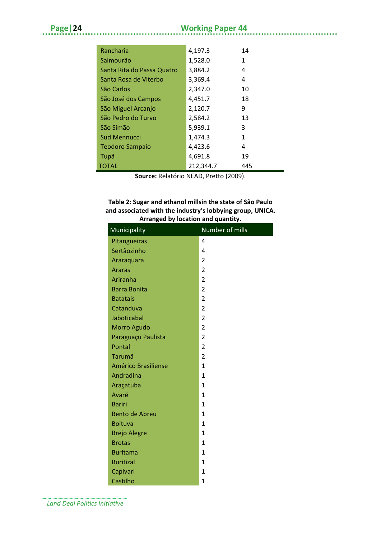. . . . . . . . . . . . . . .

| Rancharia                  | 4,197.3   | 14  |
|----------------------------|-----------|-----|
| Salmourão                  | 1,528.0   | 1   |
| Santa Rita do Passa Quatro | 3,884.2   | 4   |
| Santa Rosa de Viterbo      | 3,369.4   | 4   |
| São Carlos                 | 2,347.0   | 10  |
| São José dos Campos        | 4,451.7   | 18  |
| São Miguel Arcanjo         | 2,120.7   | 9   |
| São Pedro do Turvo         | 2,584.2   | 13  |
| São Simão                  | 5,939.1   | 3   |
| <b>Sud Mennucci</b>        | 1,474.3   | 1   |
| <b>Teodoro Sampaio</b>     | 4,423.6   | 4   |
| Tupã                       | 4,691.8   | 19  |
| <b>TOTAL</b>               | 212,344.7 | 445 |
|                            |           |     |

**Source:** Relatório NEAD, Pretto (2009).

#### **Table 2: Sugar and ethanol millsin the state of São Paulo and associated with the industry's lobbying group, UNICA. Arranged by location and quantity.**

| Municipality               | Number of mills |
|----------------------------|-----------------|
| Pitangueiras               | 4               |
| Sertãozinho                | 4               |
| Araraquara                 | $\overline{2}$  |
| <b>Araras</b>              | $\overline{2}$  |
| Ariranha                   | $\overline{2}$  |
| <b>Barra Bonita</b>        | 2               |
| <b>Batatais</b>            | $\overline{2}$  |
| Catanduva                  | $\overline{2}$  |
| Jaboticabal                | $\overline{2}$  |
| Morro Agudo                | $\overline{2}$  |
| Paraguaçu Paulista         | $\overline{2}$  |
| Pontal                     | $\overline{2}$  |
| Tarumã                     | $\overline{2}$  |
| <b>Américo Brasiliense</b> | $\mathbf{1}$    |
| Andradina                  | $\mathbf{1}$    |
| Araçatuba                  | $\mathbf{1}$    |
| Avaré                      | $\mathbf{1}$    |
| <b>Bariri</b>              | $\mathbf{1}$    |
| <b>Bento de Abreu</b>      | $\mathbf{1}$    |
| <b>Boituva</b>             | $\mathbf{1}$    |
| <b>Brejo Alegre</b>        | 1               |
| <b>Brotas</b>              | $\mathbf{1}$    |
| <b>Buritama</b>            | $\mathbf{1}$    |
| <b>Buritizal</b>           | $\mathbf{1}$    |
| Capivari                   | $\mathbf{1}$    |
| Castilho                   | $\mathbf{1}$    |

*Land Deal Politics Initiative*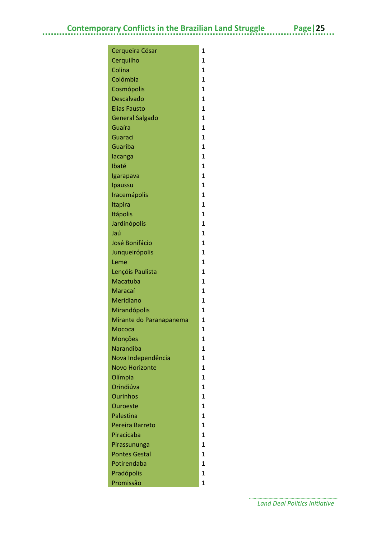| Cerqueira César         | 1              |
|-------------------------|----------------|
| Cerquilho               | $\mathbf{1}$   |
| Colina                  | $\mathbf{1}$   |
| Colômbia                | $\mathbf{1}$   |
| Cosmópolis              | $\mathbf{1}$   |
| <b>Descalvado</b>       | $\mathbf{1}$   |
| <b>Elias Fausto</b>     | $\mathbf{1}$   |
| <b>General Salgado</b>  | $\mathbf{1}$   |
| Guaíra                  | $\mathbf{1}$   |
| Guaraci                 | $\mathbf{1}$   |
| Guariba                 | $\mathbf{1}$   |
| lacanga                 | $\mathbf{1}$   |
| Ibaté                   | $\mathbf{1}$   |
| Igarapava               | $\mathbf{1}$   |
| Ipaussu                 | $\mathbf{1}$   |
| Iracemápolis            | $\mathbf{1}$   |
| Itapira                 | $\mathbf{1}$   |
| <b>Itápolis</b>         | $\mathbf{1}$   |
| Jardinópolis            | $\mathbf{1}$   |
| Jaú                     | $\mathbf{1}$   |
| <b>José Bonifácio</b>   | 1              |
| Junqueirópolis          | $\mathbf{1}$   |
| Leme                    | $\overline{1}$ |
| Lençóis Paulista        | $\mathbf{1}$   |
| Macatuba                | 1              |
| Maracaí                 | $\mathbf{1}$   |
| Meridiano               | $\overline{1}$ |
| Mirandópolis            | $\mathbf{1}$   |
| Mirante do Paranapanema | 1              |
| Мососа                  | $\overline{1}$ |
| Monções                 | 1              |
| <b>Narandiba</b>        | $\overline{1}$ |
| Nova Independência      | 1              |
| <b>Novo Horizonte</b>   | $\mathbf{1}$   |
| Olímpia                 | 1              |
| Orindiúva               | $\overline{1}$ |
| <b>Ourinhos</b>         | 1              |
| <b>Ouroeste</b>         | $\mathbf{1}$   |
| Palestina               | 1              |
| Pereira Barreto         | $\overline{1}$ |
| Piracicaba              | 1              |
| Pirassununga            | $\mathbf{1}$   |
| <b>Pontes Gestal</b>    | 1              |
| Potirendaba             | $\overline{1}$ |
| Pradópolis              | 1              |
| Promissão               | $\overline{1}$ |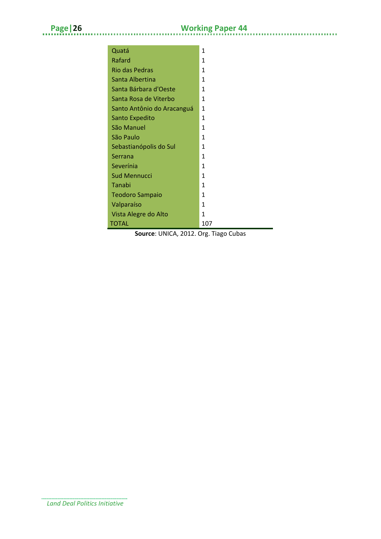à.

| Quatá                      | 1   |
|----------------------------|-----|
| Rafard                     | 1   |
| <b>Rio das Pedras</b>      | 1   |
| Santa Albertina            | 1   |
| Santa Bárbara d'Oeste      | 1   |
| Santa Rosa de Viterbo      | 1   |
| Santo Antônio do Aracanguá | 1   |
| Santo Expedito             | 1   |
| São Manuel                 | 1   |
| São Paulo                  | 1   |
| Sebastianópolis do Sul     | 1   |
| Serrana                    | 1   |
| Severínia                  | 1   |
| <b>Sud Mennucci</b>        | 1   |
| Tanabi                     | 1   |
| <b>Teodoro Sampaio</b>     | 1   |
| Valparaíso                 | 1   |
| Vista Alegre do Alto       | 1   |
| TOTAL                      | 107 |

**Source**: UNICA, 2012. Org. Tiago Cubas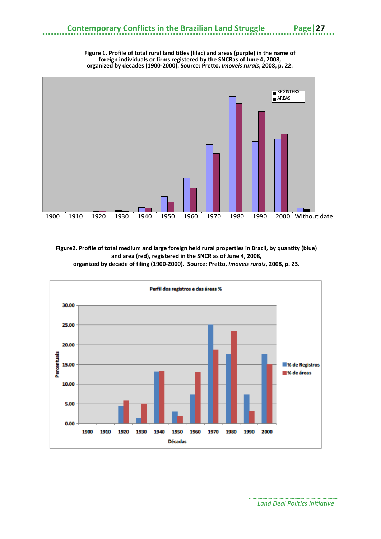

**Figure 1. Profile of total rural land titles (lilac) and areas (purple) in the name of foreign individuals or firms registered by the SNCRas of June 4, 2008,** 

**Figure2. Profile of total medium and large foreign held rural properties in Brazil, by quantity (blue) and area (red), registered in the SNCR as of June 4, 2008, organized by decade of filing (1900-2000). Source: Pretto,** *Imoveis rurais***, 2008, p. 23.**



.............. *Land Deal Politics Initiative*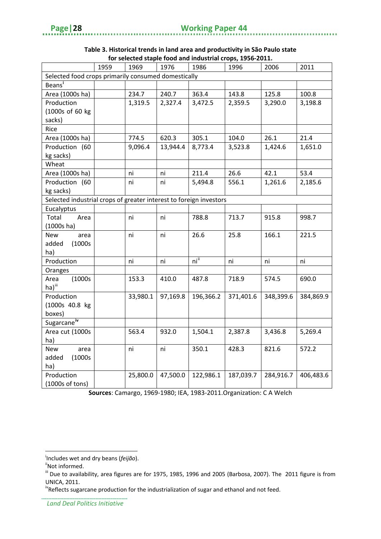............

|                                                                    |      |          |          |           | TOT SCIECICO Stapic TOOU and muustrial crops, 1990-2011. |           |           |
|--------------------------------------------------------------------|------|----------|----------|-----------|----------------------------------------------------------|-----------|-----------|
|                                                                    | 1959 | 1969     | 1976     | 1986      | 1996                                                     | 2006      | 2011      |
| Selected food crops primarily consumed domestically                |      |          |          |           |                                                          |           |           |
| Beans <sup>i</sup>                                                 |      |          |          |           |                                                          |           |           |
| Area (1000s ha)                                                    |      | 234.7    | 240.7    | 363.4     | 143.8                                                    | 125.8     | 100.8     |
| Production                                                         |      | 1,319.5  | 2,327.4  | 3,472.5   | 2,359.5                                                  | 3,290.0   | 3,198.8   |
| (1000s of 60 kg                                                    |      |          |          |           |                                                          |           |           |
| sacks)                                                             |      |          |          |           |                                                          |           |           |
| Rice                                                               |      |          |          |           |                                                          |           |           |
| Area (1000s ha)                                                    |      | 774.5    | 620.3    | 305.1     | 104.0                                                    | 26.1      | 21.4      |
| Production (60                                                     |      | 9,096.4  | 13,944.4 | 8,773.4   | 3,523.8                                                  | 1,424.6   | 1,651.0   |
| kg sacks)                                                          |      |          |          |           |                                                          |           |           |
| Wheat                                                              |      |          |          |           |                                                          |           |           |
| Area (1000s ha)                                                    |      | ni       | ni       | 211.4     | 26.6                                                     | 42.1      | 53.4      |
| Production (60                                                     |      | ni       | ni       | 5,494.8   | 556.1                                                    | 1,261.6   | 2,185.6   |
| kg sacks)                                                          |      |          |          |           |                                                          |           |           |
| Selected industrial crops of greater interest to foreign investors |      |          |          |           |                                                          |           |           |
| Eucalyptus                                                         |      |          |          |           |                                                          |           |           |
| Total<br>Area                                                      |      | ni       | ni       | 788.8     | 713.7                                                    | 915.8     | 998.7     |
| (1000s)                                                            |      |          |          |           |                                                          |           |           |
| <b>New</b><br>area                                                 |      | ni       | ni       | 26.6      | 25.8                                                     | 166.1     | 221.5     |
| added<br>(1000s                                                    |      |          |          |           |                                                          |           |           |
| ha)                                                                |      |          |          |           |                                                          |           |           |
| Production                                                         |      | ni       | ni       | ni"       | ni                                                       | ni        | ni        |
| Oranges                                                            |      |          |          |           |                                                          |           |           |
| (1000s<br>Area                                                     |      | 153.3    | 410.0    | 487.8     | 718.9                                                    | 574.5     | 690.0     |
| ha) <sup>iii</sup>                                                 |      |          |          |           |                                                          |           |           |
| Production                                                         |      | 33,980.1 | 97,169.8 | 196,366.2 | 371,401.6                                                | 348,399.6 | 384,869.9 |
| (1000s 40.8 kg                                                     |      |          |          |           |                                                          |           |           |
| boxes)                                                             |      |          |          |           |                                                          |           |           |
| Sugarcane <sup>iv</sup>                                            |      |          |          |           |                                                          |           |           |
| Area cut (1000s                                                    |      | 563.4    | 932.0    | 1,504.1   | 2,387.8                                                  | 3,436.8   | 5,269.4   |
| ha)                                                                |      |          |          |           |                                                          |           |           |
| New<br>area                                                        |      | ni       | ni       | 350.1     | 428.3                                                    | 821.6     | 572.2     |
| added<br>(1000s                                                    |      |          |          |           |                                                          |           |           |
| ha)                                                                |      |          |          |           |                                                          |           |           |
| Production                                                         |      | 25,800.0 | 47,500.0 | 122,986.1 | 187,039.7                                                | 284,916.7 | 406,483.6 |
| (1000s of tons)                                                    |      |          |          |           |                                                          |           |           |

#### **Table 3. Historical trends in land area and productivity in São Paulo state for selected staple food and industrial crops, 1956-2011.**

**Sources**: Camargo, 1969-1980; IEA, 1983-2011.Organization: C A Welch

 $\overline{a}$ 

<span id="page-31-0"></span><sup>&</sup>lt;sup>i</sup>Includes wet and dry beans (*feijão*).<br><sup>ii</sup>Not informed.

<span id="page-31-2"></span><span id="page-31-1"></span>iii Due to availability, area figures are for 1975, 1985, 1996 and 2005 (Barbosa, 2007). The 2011 figure is from UNICA, 2011.

<span id="page-31-3"></span><sup>&</sup>lt;sup>iv</sup>Reflects sugarcane production for the industrialization of sugar and ethanol and not feed.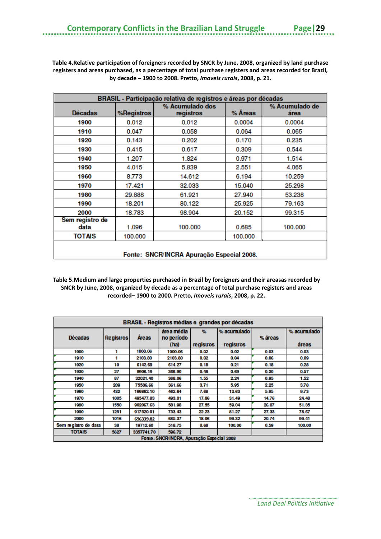**Table 4.Relative participation of foreigners recorded by SNCR by June, 2008, organized by land purchase registers and areas purchased, as a percentage of total purchase registers and areas recorded for Brazil, by decade – 1900 to 2008. Pretto,** *Imoveis rurais***, 2008, p. 21.**

| BRASIL - Participação relativa de registros e áreas por décadas |                   |                                                                   |         |         |  |  |  |
|-----------------------------------------------------------------|-------------------|-------------------------------------------------------------------|---------|---------|--|--|--|
| <b>Décadas</b>                                                  | <b>%Registros</b> | % Acumulado dos<br>% Acumulado de<br>% Areas<br>registros<br>área |         |         |  |  |  |
| 1900                                                            | 0.012             | 0.012                                                             | 0.0004  | 0.0004  |  |  |  |
| 1910                                                            | 0.047             | 0.058                                                             | 0.064   | 0.065   |  |  |  |
| 1920                                                            | 0.143             | 0.202                                                             | 0.170   | 0.235   |  |  |  |
| 1930                                                            | 0.415             | 0.617                                                             | 0.309   | 0.544   |  |  |  |
| 1940                                                            | 1.207             | 1.824                                                             | 0.971   | 1.514   |  |  |  |
| 1950                                                            | 4.015             | 5.839                                                             | 2.551   | 4.065   |  |  |  |
| 1960                                                            | 8.773             | 14.612                                                            | 6.194   | 10.259  |  |  |  |
| 1970                                                            | 17.421            | 32.033                                                            | 15.040  | 25.298  |  |  |  |
| 1980                                                            | 29.888            | 61.921                                                            | 27.940  | 53.238  |  |  |  |
| 1990                                                            | 18.201            | 80.122                                                            | 25,925  | 79.163  |  |  |  |
| 2000                                                            | 18.783            | 98.904                                                            | 20.152  | 99.315  |  |  |  |
| Sem registro de<br>data                                         | 1.096             | 100.000                                                           | 0.685   | 100,000 |  |  |  |
| <b>TOTAIS</b>                                                   | 100.000           |                                                                   | 100.000 |         |  |  |  |
| Fonte: SNCR/INCRA Apuração Especial 2008.                       |                   |                                                                   |         |         |  |  |  |

**Table 5.Medium and large properties purchased in Brazil by foreigners and their areasas recorded by SNCR by June, 2008, organized by decade as a percentage of total purchase registers and areas recorded– 1900 to 2000. Pretto,** *Imoveis rurais***, 2008, p. 22.**

| <b>BRASIL - Registros médias e grandes por décadas</b> |                  |            |                          |           |             |         |             |
|--------------------------------------------------------|------------------|------------|--------------------------|-----------|-------------|---------|-------------|
| <b>Décadas</b>                                         | <b>Registros</b> | Areas      | área média<br>no período | %         | % acumulado | % áreas | % acumulado |
|                                                        |                  |            | (ha)                     | registros | registros   |         | áreas       |
| 1900                                                   | 1                | 1000.06    | 1000.06                  | 0.02      | 0.02        | 0.03    | 0.03        |
| 1910                                                   | 1                | 2103.80    | 2103.80                  | 0.02      | 0.04        | 0.06    | 0.09        |
| 1920                                                   | 10               | 6142.69    | 614.27                   | 0.18      | 0.21        | 0.18    | 0.28        |
| 1930                                                   | 27               | 9906.19    | 366.90                   | 0.48      | 0.69        | 0.30    | 0.57        |
| 1940                                                   | 87               | 32021.40   | 368.06                   | 1.55      | 2.24        | 0.95    | 1.52        |
| 1950                                                   | 209              | 75586.66   | 361.66                   | 3.71      | 5.95        | 2.25    | 3.78        |
| 1960                                                   | 432              | 199862.10  | 462.64                   | 7.68      | 13.63       | 5.95    | 9.73        |
| 1970                                                   | 1005             | 495477.83  | 493.01                   | 17.86     | 31.49       | 14.76   | 24.48       |
| 1980                                                   | 1550             | 902067.63  | 581.98                   | 27.55     | 59.04       | 26.87   | 51.35       |
| 1990                                                   | 1251             | 917520.91  | 733.43                   | 22.23     | 81.27       | 27.33   | 78.67       |
| 2000                                                   | 1016             | 696339.82  | 685.37                   | 18.06     | 99.32       | 20.74   | 99.41       |
| Sem registro de data                                   | 38               | 19712.60   | 518.75                   | 0.68      | 100,00      | 0.59    | 100.00      |
| <b>TOTAIS</b>                                          | 5627             | 3357741.70 | 596.72                   |           |             |         |             |
| Fonte: SNCR/INCRA, Apuração Especial 2008              |                  |            |                          |           |             |         |             |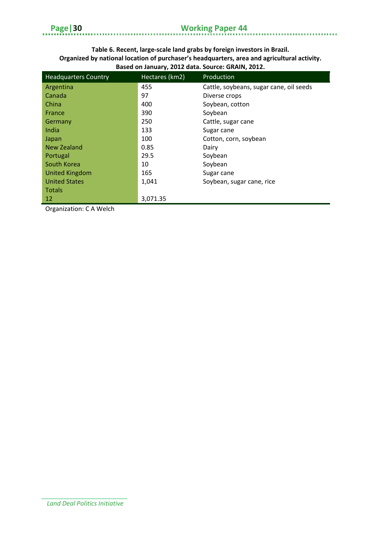### **Page|30 Working Paper 44**

a na n

#### **Table 6. Recent, large-scale land grabs by foreign investors in Brazil. Organized by national location of purchaser's headquarters, area and agricultural activity. Based on January, 2012 data. Source: GRAIN, 2012.**

| <b>Headquarters Country</b> | Hectares (km2) | Production                              |
|-----------------------------|----------------|-----------------------------------------|
| Argentina                   | 455            | Cattle, soybeans, sugar cane, oil seeds |
| Canada                      | 97             | Diverse crops                           |
| China                       | 400            | Soybean, cotton                         |
| France                      | 390            | Soybean                                 |
| Germany                     | 250            | Cattle, sugar cane                      |
| India                       | 133            | Sugar cane                              |
| Japan                       | 100            | Cotton, corn, soybean                   |
| New Zealand                 | 0.85           | Dairy                                   |
| Portugal                    | 29.5           | Soybean                                 |
| South Korea                 | 10             | Soybean                                 |
| <b>United Kingdom</b>       | 165            | Sugar cane                              |
| <b>United States</b>        | 1,041          | Soybean, sugar cane, rice               |
| <b>Totals</b>               |                |                                         |
| 12                          | 3,071.35       |                                         |

Organization: C A Welch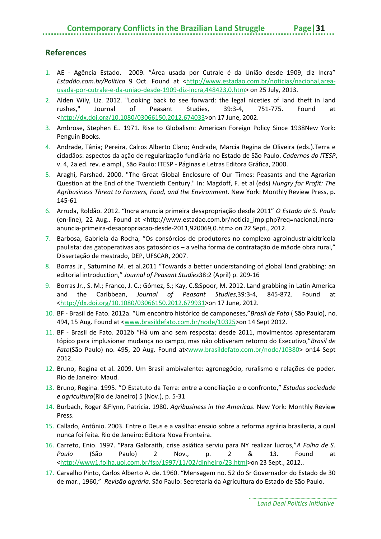#### <span id="page-34-0"></span>**References**

- 1. AE Agência Estado. 2009. "Área usada por Cutrale é da União desde 1909, diz Incra" *Estadão.com.br/Política* 9 Oct. Found at [<http://www.estadao.com.br/noticias/nacional,area](http://www.estadao.com.br/noticias/nacional,area-usada-por-cutrale-e-da-uniao-desde-1909-diz-incra,448423,0.htm)[usada-por-cutrale-e-da-uniao-desde-1909-diz-incra,448423,0.htm>](http://www.estadao.com.br/noticias/nacional,area-usada-por-cutrale-e-da-uniao-desde-1909-diz-incra,448423,0.htm) on 25 July, 2013.
- 2. Alden Wily, Liz. 2012. "Looking back to see forward: the legal niceties of land theft in land rushes," Journal of Peasant Studies, 39:3-4, 751-775. Found at [<http://dx.doi.org/10.1080/03066150.2012.674033>](http://dx.doi.org/10.1080/03066150.2012.674033)on 17 June, 2002.
- 3. Ambrose, Stephen E.. 1971. Rise to Globalism: American Foreign Policy Since 1938New York: Penguin Books.
- 4. Andrade, Tânia; Pereira, Calros Alberto Claro; Andrade, Marcia Regina de Oliveira (eds.).Terra e cidadãos: aspectos da ação de regularização fundiária no Estado de São Paulo. *Cadernos do ITESP*, v. 4, 2a ed. rev. e ampl., São Paulo: ITESP - Páginas e Letras Editora Gráfica, 2000.
- 5. Araghi, Farshad. 2000. "The Great Global Enclosure of Our Times: Peasants and the Agrarian Question at the End of the Twentieth Century." In: Magdoff, F. et al (eds) *Hungry for Profit: The Agribusiness Threat to Farmers, Food, and the Environment.* New York: Monthly Review Press, p. 145-61
- 6. Arruda, Roldão. 2012. "Incra anuncia primeira desapropriação desde 2011" *O Estado de S. Paulo* (on-line), 22 Aug.. Found at <http://www.estadao.com.br/noticia\_imp.php?req=nacional,incraanuncia-primeira-desapropriacao-desde-2011,920069,0.htm> on 22 Sept., 2012.
- 7. Barbosa, Gabriela da Rocha, "Os consórcios de produtores no complexo agroindustrialcitrícola paulista: das gatoperativas aos gatosórcios – a velha forma de contratação de mãode obra rural," Dissertação de mestrado, DEP, UFSCAR, 2007.
- 8. Borras Jr., Saturnino M. et al.2011 "Towards a better understanding of global land grabbing: an editorial introduction," *Journal of Peasant Studies*38:2 (April) p. 209-16
- 9. Borras Jr., S. M.; Franco, J. C.; Gómez, S.; Kay, C.&Spoor, M. 2012. Land grabbing in Latin America and the Caribbean, *Journal of Peasant Studies*,39:3-4, 845-872. Found at [<http://dx.doi.org/10.1080/03066150.2012.679931>](http://dx.doi.org/10.1080/03066150.2012.679931)on 17 June, 2012.
- 10. BF Brasil de Fato. 2012a. "Um encontro histórico de camponeses,"*Brasil de Fato* ( São Paulo), no. 494, 15 Aug. Found at [<www.brasildefato.com.br/node/10325>](http://www.brasildefato.com.br/node/10325)on 14 Sept 2012.
- 11. BF Brasil de Fato. 2012b "Há um ano sem resposta: desde 2011, movimentos apresentaram tópico para implusionar mudança no campo, mas não obtiveram retorno do Executivo,"*Brasil de Fato*(São Paulo) no. 495, 20 Aug. Found at[<www.brasildefato.com.br/node/10380>](http://www.brasildefato.com.br/node/10380) on14 Sept 2012.
- 12. Bruno, Regina et al. 2009. Um Brasil ambivalente: agronegócio, ruralismo e relações de poder. Rio de Janeiro: Maud.
- 13. Bruno, Regina. 1995. "O Estatuto da Terra: entre a conciliação e o confronto," *Estudos sociedade e agricultura*(Rio de Janeiro) 5 (Nov.), p. 5-31
- 14. Burbach, Roger &Flynn, Patricia. 1980. *Agribusiness in the Americas*. New York: Monthly Review Press.
- 15. Callado, Antônio. 2003. Entre o Deus e a vasilha: ensaio sobre a reforma agrária brasileria, a qual nunca foi feita. Rio de Janeiro: Editora Nova Fronteira.
- 16. Carreto, Enio. 1997. "Para Galbraith, crise asiática serviu para NY realizar lucros,"*A Folha de S. Paulo* (São Paulo) 2 Nov., p. 2 & 13. Found at [<http://www1.folha.uol.com.br/fsp/1997/11/02/dinheiro/23.html>](http://www1.folha.uol.com.br/fsp/1997/11/02/dinheiro/23.html)on 23 Sept., 2012..
- 17. Carvalho Pinto, Carlos Alberto A. de. 1960. "Mensagem no. 52 do Sr Governador do Estado de 30 de mar., 1960," *Revisão agrária*. São Paulo: Secretaria da Agricultura do Estado de São Paulo.

*Land Deal Politics Initiative*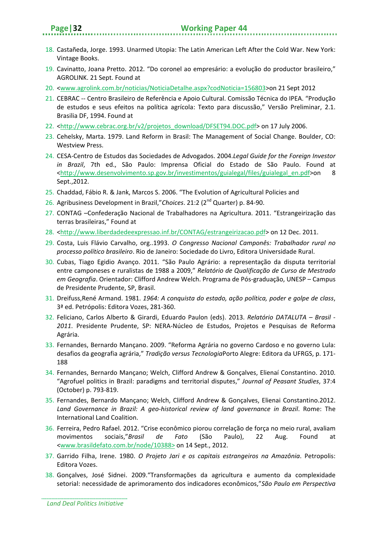- 18. Castañeda, Jorge. 1993. Unarmed Utopia: The Latin American Left After the Cold War. New York: Vintage Books.
- 19. Cavinatto, Joana Pretto. 2012. "Do coronel ao empresário: a evolução do productor brasileiro," AGROLINK. 21 Sept. Found at
- 20. [<www.agrolink.com.br/noticias/NoticiaDetalhe.aspx?codNoticia=156803>](http://www.agrolink.com.br/noticias/NoticiaDetalhe.aspx?codNoticia=156803)on 21 Sept 2012
- 21. CEBRAC -- Centro Brasileiro de Referência e Apoio Cultural. Comissão Técnica do IPEA. "Produção de estudos e seus efeitos na política agrícola: Texto para discussão," Versão Preliminar, 2.1. Brasilia DF, 1994. Found at
- 22. [<http://www.cebrac.org.br/v2/projetos\\_download/DFSET94.DOC.pdf>](http://www.cebrac.org.br/v2/projetos_download/DFSET94.DOC.pdf) on 17 July 2006.
- 23. Cehelsky, Marta. 1979. Land Reform in Brasil: The Management of Social Change. Boulder, CO: Westview Press.
- 24. CESA-Centro de Estudos das Sociedades de Advogados. 2004.*Legal Guide for the Foreign Investor in Brazil*, 7th ed., São Paulo: Imprensa Oficial do Estado de São Paulo. Found at [<http://www.desenvolvimento.sp.gov.br/investimentos/guialegal/files/guialegal\\_en.pdf>](http://www.desenvolvimento.sp.gov.br/investimentos/guialegal/files/guialegal_en.pdf)on 8 Sept.,2012.
- 25. Chaddad, Fábio R. & Jank, Marcos S. 2006. "The Evolution of Agricultural Policies and
- 26. Agribusiness Development in Brazil,"*Choices*. 21:2 (2nd Quarter) p. 84-90.
- 27. CONTAG –Confederação Nacional de Trabalhadores na Agricultura. 2011. "Estrangeirização das terras brasileiras," Found at
- 28. [<http://www.liberdadedeexpressao.inf.br/CONTAG/estrangeirizacao.pdf>](http://www.liberdadedeexpressao.inf.br/CONTAG/estrangeirizacao.pdf) on 12 Dec. 2011.
- 29. Costa, Luis Flávio Carvalho, org..1993. *O Congresso Nacional Camponês: Trabalhador rural no processo político brasileiro*. Rio de Janeiro: Sociedade do Livro, Editora Universidade Rural.
- 30. Cubas, Tiago Egidio Avanço. 2011. "São Paulo Agrário: a representação da disputa territorial entre camponeses e ruralistas de 1988 a 2009," *Relatório de Qualificação de Curso de Mestrado em Geografia*. Orientador: Clifford Andrew Welch. Programa de Pós-graduação, UNESP – Campus de Presidente Prudente, SP, Brasil.
- 31. Dreifuss,René Armand. 1981. *1964: A conquista do estado, ação política, poder e golpe de class*, 3ª ed. Petrópolis: Editora Vozes, 281-360.
- 32. Feliciano, Carlos Alberto & Girardi, Eduardo Paulon (eds). 2013. *Relatório DATALUTA – Brasil - 2011*. Presidente Prudente, SP: NERA-Núcleo de Estudos, Projetos e Pesquisas de Reforma Agrária.
- 33. Fernandes, Bernardo Mançano. 2009. "Reforma Agrária no governo Cardoso e no governo Lula: desafios da geografia agrária," *Tradição versus Tecnologia*Porto Alegre: Editora da UFRGS, p. 171- 188
- 34. Fernandes, Bernardo Mançano; Welch, Clifford Andrew & Gonçalves, Elienaí Constantino. 2010. "Agrofuel politics in Brazil: paradigms and territorial disputes," *Journal of Peasant Studies*, 37:4 (October) p. 793-819.
- 35. Fernandes, Bernardo Mançano; Welch, Clifford Andrew & Gonçalves, Elienai Constantino.2012. *Land Governance in Brazil: A geo-historical review of land governance in Brazil*. Rome: The International Land Coalition.
- 36. Ferreira, Pedro Rafael. 2012. "Crise econômico piorou correlação de força no meio rural, avaliam movimentos sociais,"*Brasil de Fato* (São Paulo), 22 Aug. Found at [<www.brasildefato.com.br/node/10388>](http://www.brasildefato.com.br/node/10388%3e) on 14 Sept., 2012.
- 37. Garrido Filha, Irene. 1980. *O Projeto Jari e os capitais estrangeiros na Amazônia*. Petropolis: Editora Vozes.
- 38. Gonçalves, José Sidnei. 2009."Transformações da agricultura e aumento da complexidade setorial: necessidade de aprimoramento dos indicadores econômicos,"*São Paulo em Perspectiva*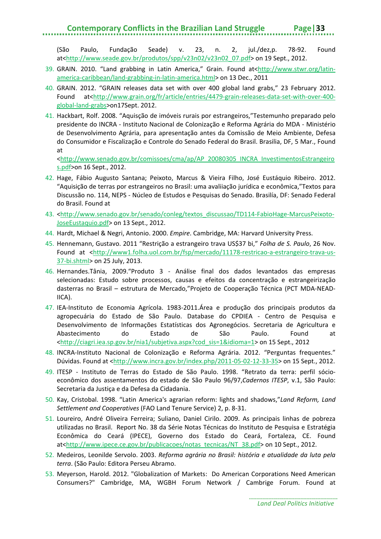### **Contemporary Conflicts in the Brazilian Land Struggle**

(São Paulo, Fundação Seade) v. 23, n. 2, jul./dez,p. 78-92. Found at[<http://www.seade.gov.br/produtos/spp/v23n02/v23n02\\_07.pdf>](http://www.seade.gov.br/produtos/spp/v23n02/v23n02_07.pdf) on 19 Sept., 2012.

- 39. GRAIN. 2010. "Land grabbing in Latin America," Grain. Found at[<http://www.stwr.org/latin](http://www.stwr.org/latin-america-caribbean/land-grabbing-in-latin-america.html)[america-caribbean/land-grabbing-in-latin-america.html>](http://www.stwr.org/latin-america-caribbean/land-grabbing-in-latin-america.html) on 13 Dec., 2011
- 40. GRAIN. 2012. "GRAIN releases data set with over 400 global land grabs," 23 February 2012. Found at[<http://www.grain.org/fr/article/entries/4479-grain-releases-data-set-with-over-400](http://www.grain.org/fr/article/entries/4479-grain-releases-data-set-with-over-400-global-land-grabs) [global-land-grabs>](http://www.grain.org/fr/article/entries/4479-grain-releases-data-set-with-over-400-global-land-grabs)on17Sept. 2012.
- 41. Hackbart, Rolf. 2008. "Aquisção de imóveis rurais por estrangeiros,"Testemunho preparado pelo presidente do INCRA - Instituto Nacional de Colonização e Reforma Agrária do MDA - Ministério de Desenvolvimento Agrária, para apresentação antes da Comissão de Meio Ambiente, Defesa do Consumidor e Fiscalização e Controle do Senado Federal do Brasil. Brasilia, DF, 5 Mar., Found at

[<http://www.senado.gov.br/comissoes/cma/ap/AP\\_20080305\\_INCRA\\_InvestimentosEstrangeiro](http://www.senado.gov.br/comissoes/cma/ap/AP_20080305_INCRA_InvestimentosEstrangeiros.pdf) [s.pdf>](http://www.senado.gov.br/comissoes/cma/ap/AP_20080305_INCRA_InvestimentosEstrangeiros.pdf)on 16 Sept., 2012.

- 42. Hage, Fábio Augusto Santana; Peixoto, Marcus & Vieira Filho, José Eustáquio Ribeiro. 2012. "Aquisição de terras por estrangeiros no Brasil: uma avaliiação jurídica e econômica,"Textos para Discussão no. 114, NEPS - Núcleo de Estudos e Pesquisas do Senado. Brasilía, DF: Senado Federal do Brasil. Found at
- 43. [<http://www.senado.gov.br/senado/conleg/textos\\_discussao/TD114-FabioHage-MarcusPeixoto-](http://www.senado.gov.br/senado/conleg/textos_discussao/TD114-FabioHage-MarcusPeixoto-JoseEustaquio.pdf)[JoseEustaquio.pdf>](http://www.senado.gov.br/senado/conleg/textos_discussao/TD114-FabioHage-MarcusPeixoto-JoseEustaquio.pdf) on 13 Sept., 2012.
- 44. Hardt, Michael & Negri, Antonio. 2000. *Empire*. Cambridge, MA: Harvard University Press.
- 45. Hennemann, Gustavo. 2011 "Restrição a estrangeiro trava US\$37 bi," *Folha de S. Paulo*, 26 Nov. Found at [<http://www1.folha.uol.com.br/fsp/mercado/11178-restricao-a-estrangeiro-trava-us-](http://www1.folha.uol.com.br/fsp/mercado/11178-restricao-a-estrangeiro-trava-us-37-bi.shtml)[37-bi.shtml>](http://www1.folha.uol.com.br/fsp/mercado/11178-restricao-a-estrangeiro-trava-us-37-bi.shtml) on 25 July, 2013.
- 46. Hernandes.Tânia, 2009."Produto 3 Análise final dos dados levantados das empresas selecionadas: Estudo sobre processos, causas e efeitos da concentração e estrangeirização dasterras no Brasil – estrutura de Mercado,"Projeto de Cooperação Técnica (PCT MDA-NEAD-IICA).
- 47. IEA-Instituto de Economia Agrícola. 1983-2011.Área e produção dos principais produtos da agropecuária do Estado de São Paulo. Database do CPDIEA - Centro de Pesquisa e Desenvolvimento de Informações Estatísticas dos Agronegócios. Secretaria de Agricultura e Abastecimento do Estado de São Paulo. Found at [<http://ciagri.iea.sp.gov.br/nia1/subjetiva.aspx?cod\\_sis=1&idioma=1>](http://ciagri.iea.sp.gov.br/nia1/subjetiva.aspx?cod_sis=1&idioma=1) on 15 Sept., 2012
- 48. INCRA-Instituto Nacional de Colonização e Reforma Agrária. 2012. "Perguntas frequentes." Dúvidas. Found at [<http://www.incra.gov.br/index.php/2011-05-02-12-33-35>](http://www.incra.gov.br/index.php/2011-05-02-12-33-35) on 15 Sept., 2012.
- 49. ITESP Instituto de Terras do Estado de São Paulo. 1998. "Retrato da terra: perfil sócioeconômico dos assentamentos do estado de São Paulo 96/97,*Cadernos ITESP*, v.1, São Paulo: Secretaria da Justiça e da Defesa da Cidadania.
- 50. Kay, Cristobal. 1998. "Latin America's agrarian reform: lights and shadows,"*Land Reform, Land Settlement and Cooperatives* (FAO Land Tenure Service) 2, p. 8-31.
- 51. Loureiro, André Oliveira Ferreira; Suliano, Daniel Cirilo. 2009. As principais linhas de pobreza utilizadas no Brasil. Report No. 38 da Série Notas Técnicas do Instituto de Pesquisa e Estratégia Econômica do Ceará (IPECE), Governo dos Estado do Ceará, Fortaleza, CE. Found at[<http://www.ipece.ce.gov.br/publicacoes/notas\\_tecnicas/NT\\_38.pdf>](http://www.ipece.ce.gov.br/publicacoes/notas_tecnicas/NT_38.pdf) on 10 Sept., 2012.
- 52. Medeiros, Leonilde Servolo. 2003. *Reforma agrária no Brasil: história e atualidade da luta pela terra*. (São Paulo: Editora Perseu Abramo.
- 53. Meyerson, Harold. 2012. "Globalization of Markets: Do American Corporations Need American Consumers?" Cambridge, MA, WGBH Forum Network / Cambrige Forum. Found at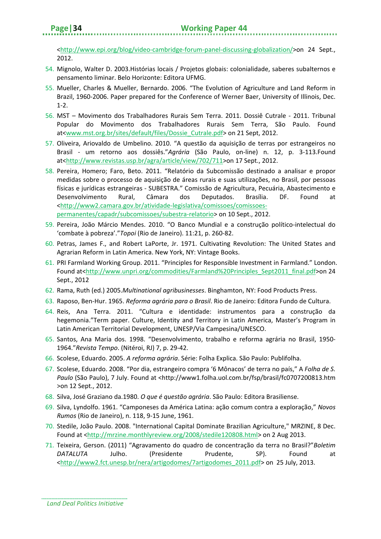[<http://www.epi.org/blog/video-cambridge-forum-panel-discussing-globalization/>](http://www.epi.org/blog/video-cambridge-forum-panel-discussing-globalization/)on 24 Sept., 2012.

- 54. Mignolo, Walter D. 2003.Histórias locais / Projetos globais: colonialidade, saberes subalternos e pensamento liminar. Belo Horizonte: Editora UFMG.
- 55. Mueller, Charles & Mueller, Bernardo. 2006. "The Evolution of Agriculture and Land Reform in Brazil, 1960-2006. Paper prepared for the Conference of Werner Baer, University of Illinois, Dec. 1-2.
- 56. MST Movimento dos Trabalhadores Rurais Sem Terra. 2011. Dossiê Cutrale 2011. Tribunal Popular do Movimento dos Trabalhadores Rurais Sem Terra, São Paulo. Found at[<www.mst.org.br/sites/default/files/Dossie\\_Cutrale.pdf>](http://www.mst.org.br/sites/default/files/Dossie_Cutrale.pdf) on 21 Sept, 2012.
- 57. Oliveira, Ariovaldo de Umbelino. 2010. "A questão da aquisição de terras por estrangeiros no Brasil - um retorno aos dossiês."*Agrária* (São Paulo, on-line) n. 12, p. 3-113.Found at[<http://www.revistas.usp.br/agra/article/view/702/711>](http://www.revistas.usp.br/agra/article/view/702/711)on 17 Sept., 2012.
- 58. Pereira, Homero; Faro, Beto. 2011. "Relatório da Subcomissão destinado a analisar e propor medidas sobre o processo de aquisição de áreas rurais e suas utilizações, no Brasil, por pessoas físicas e jurídicas estrangeiras - SUBESTRA." Comissão de Agricultura, Pecuária, Abastecimento e Desenvolvimento Rural, Câmara dos Deputados. Brasília. DF. Found at [<http://www2.camara.gov.br/atividade-legislativa/comissoes/comissoes](http://www2.camara.gov.br/atividade-legislativa/comissoes/comissoes-permanentes/capadr/subcomissoes/subestra-relatorio)[permanentes/capadr/subcomissoes/subestra-relatorio>](http://www2.camara.gov.br/atividade-legislativa/comissoes/comissoes-permanentes/capadr/subcomissoes/subestra-relatorio) on 10 Sept., 2012.
- 59. Pereira, João Márcio Mendes. 2010. "O Banco Mundial e a construção político-intelectual do 'combate à pobreza'."*Topoi* (Rio de Janeiro). 11:21, p. 260-82.
- 60. Petras, James F., and Robert LaPorte, Jr. 1971. Cultivating Revolution: The United States and Agrarian Reform in Latin America. New York, NY: Vintage Books.
- 61. PRI Farmland Working Group. 2011. "Principles for Responsible Investment in Farmland." London. Found at[<http://www.unpri.org/commodities/Farmland%20Principles\\_Sept2011\\_final.pdf>](http://www.unpri.org/commodities/Farmland%20Principles_Sept2011_final.pdf)on 24 Sept., 2012
- 62. Rama, Ruth (ed.) 2005.*Multinational agribusinesses*. Binghamton, NY: Food Products Press.
- 63. Raposo, Ben-Hur. 1965. *Reforma agrária para o Brasil*. Rio de Janeiro: Editora Fundo de Cultura.
- 64. Reis, Ana Terra. 2011. "Cultura e identidade: instrumentos para a construção da hegemonia."Term paper. Culture, Identity and Territory in Latin America, Master's Program in Latin American Territorial Development, UNESP/Via Campesina/UNESCO.
- 65. Santos, Ana Maria dos. 1998. "Desenvolvimento, trabalho e reforma agrária no Brasil, 1950- 1964."*Revista Tempo*. (Nitéroi, RJ) 7, p. 29-42.
- 66. Scolese, Eduardo. 2005. *A reforma agrária*. Série: Folha Explica. São Paulo: Publifolha.
- 67. Scolese, Eduardo. 2008. "Por dia, estrangeiro compra '6 Mônacos' de terra no país," A *Folha de S. Paulo* (São Paulo), 7 July. Found at <http://www1.folha.uol.com.br/fsp/brasil/fc0707200813.htm >on 12 Sept., 2012.
- 68. Silva, José Graziano da.1980. *O que é questão agrária*. São Paulo: Editora Brasiliense.
- 69. Silva, Lyndolfo. 1961. "Camponeses da América Latina: ação comum contra a exploração," *Novos Rumos* (Rio de Janeiro), n. 118, 9-15 June, 1961.
- 70. Stedile, João Paulo. 2008. "International Capital Dominate Brazilian Agriculture," MRZINE, 8 Dec. Found at [<http://mrzine.monthlyreview.org/2008/stedile120808.html>](http://mrzine.monthlyreview.org/2008/stedile120808.html) on 2 Aug 2013.
- 71. Teixeira, Gerson. (2011) "Agravamento do quadro de concentração da terra no Brasil?"*Boletim DATALUTA* Julho. (Presidente Prudente, SP). Found at [<http://www2.fct.unesp.br/nera/artigodomes/7artigodomes\\_2011.pdf>](http://www2.fct.unesp.br/nera/artigodomes/7artigodomes_2011.pdf) on 25 July, 2013.

*Land Deal Politics Initiative*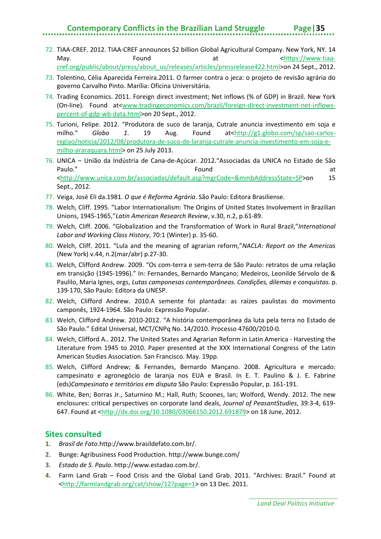### **Contemporary Conflicts in the Brazilian Land Struggle Page|35**

- 72. TIAA-CREF. 2012. TIAA-CREF announces \$2 billion Global Agricultural Company. New York, NY. 14 May. The mode of the state of the May at the state of the state of the May at the state of the state of the state of the state of the state of the state of the state of the state of the state of the state of the state of t [cref.org/public/about/press/about\\_us/releases/articles/pressrelease422.html>](https://www.tiaa-cref.org/public/about/press/about_us/releases/articles/pressrelease422.html)on 24 Sept., 2012.
- 73. Tolentino, Célia Aparecida Ferreira.2011. O farmer contra o jeca: o projeto de revisão agrária do governo Carvalho Pinto. Marília: Oficina Universitária.
- 74. Trading Economics. 2011. Foreign direct investment; Net inflows (% of GDP) in Brazil. New York (On-line). Found at[<www.tradingeconomics.com/brazil/foreign-direct-investment-net-inflows](http://www.tradingeconomics.com/brazil/foreign-direct-investment-net-inflows-percent-of-gdp-wb-data.html)[percent-of-gdp-wb-data.html>](http://www.tradingeconomics.com/brazil/foreign-direct-investment-net-inflows-percent-of-gdp-wb-data.html)on 20 Sept., 2012.
- 75. Turioni, Felipe. 2012. "Produtora de suco de laranja, Cutrale anuncia investimento em soja e milho." *Globo 1*. 19 Aug. Found at[<http://g1.globo.com/sp/sao-carlos](http://g1.globo.com/sp/sao-carlos-regiao/noticia/2012/08/produtora-de-suco-de-laranja-cutrale-anuncia-investimento-em-soja-e-milho-araraquara.html)[regiao/noticia/2012/08/produtora-de-suco-de-laranja-cutrale-anuncia-investimento-em-soja-e](http://g1.globo.com/sp/sao-carlos-regiao/noticia/2012/08/produtora-de-suco-de-laranja-cutrale-anuncia-investimento-em-soja-e-milho-araraquara.html)[milho-araraquara.html>](http://g1.globo.com/sp/sao-carlos-regiao/noticia/2012/08/produtora-de-suco-de-laranja-cutrale-anuncia-investimento-em-soja-e-milho-araraquara.html) on 25 July 2013.
- 76. UNICA União da Indústria de Cana-de-Açúcar. 2012."Associadas da UNICA no Estado de São Paulo." **Found Found CONFINGLER** [<http://www.unica.com.br/associadas/default.asp?mgrCode=&mmbAddressState=SP>](http://www.unica.com.br/associadas/default.asp?mgrCode=&mmbAddressState=SP)on 15 Sept., 2012.
- 77. Veiga, José Eli da.1981. *O que é Reforma Agrária*. São Paulo: Editora Brasiliense.
- 78. Welch, Cliff. 1995. "Labor Internationalism: The Origins of United States Involvement in Brazilian Unions, 1945-1965,"*Latin American Research Review*, v.30, n.2, p.61-89.
- 79. Welch, Cliff. 2006. "Globalization and the Transformation of Work in Rural Brazil,"*International Labor and Working Class History*, 70:1 (Winter) p. 35-60.
- 80. Welch, Cliff. 2011. "Lula and the meaning of agrarian reform,"*NACLA: Report on the Americas* (New York) v.44, n.2(mar/abr) p.27-30.
- 81. Welch, Clifford Andrew. 2009. "Os com-terra e sem-terra de São Paulo: retratos de uma relação em transição (1945-1996)." In: Fernandes, Bernardo Mançano; Medeiros, Leonilde Sérvolo de & Paulilo, Maria Ignes, orgs, *Lutas camponesas contemporâneas. Condições, dilemas e conquistas.* p. 139-170, São Paulo: Editora da UNESP.
- 82. Welch, Clifford Andrew. 2010.A semente foi plantada: as raízes paulistas do movimento camponês, 1924-1964. São Paulo: Expressão Popular.
- 83. Welch, Clifford Andrew. 2010-2012. "A história contemporânea da luta pela terra no Estado de São Paulo." Edital Universal, MCT/CNPq No. 14/2010. Processo 47600/2010-0.
- 84. Welch, Clifford A.. 2012. The United States and Agrarian Reform in Latin America Harvesting the Literature from 1945 to 2010. Paper presented at the XXX International Congress of the Latin American Studies Association. San Francisco. May. 19pp.
- 85. Welch, Clifford Andrew; & Fernandes, Bernardo Mançano. 2008. Agricultura e mercado: campesinato e agronegócio de laranja nos EUA e Brasil. In E. T. Paulino & J. E. Fabrine (eds)*Campesinato e territórios em disputa* São Paulo: Expressão Popular, p. 161-191.
- 86. White, Ben; Borras Jr., Saturnino M.; Hall, Ruth; Scoones, Ian; Wolford, Wendy. 2012. The new enclosures: critical perspectives on corporate land deals, *Journal of PeasantStudies*, 39:3-4, 619- 647. Found at [<http://dx.doi.org/10.1080/03066150.2012.691879>](http://dx.doi.org/10.1080/03066150.2012.691879) on 18 June, 2012.

#### **Sites consulted**

- **1.** *Brasil de Fato*.http://www.brasildefato.com.br/.
- **2.** Bunge: Agribusiness Food Production. http://www.bunge.com/
- **3.** *Estado de S. Paulo*. http://www.estadao.com.br/.
- **4.** Farm Land Grab Food Crisis and the Global Land Grab. 2011. "Archives: Brazil." Found at [<http://farmlandgrab.org/cat/show/12?page=1>](http://farmlandgrab.org/cat/show/12?page=1) on 13 Dec. 2011.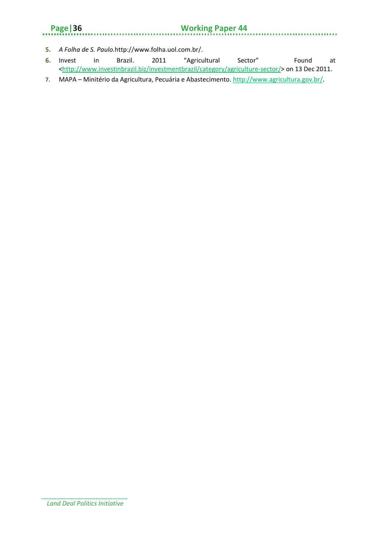### **Page|36 Working Paper 44**

- **5.** *A Folha de S. Paulo*.http://www.folha.uol.com.br/.
- **6.** Invest in Brazil. 2011 "Agricultural Sector" Found at [<http://www.investinbrazil.biz/investmentbrazil/category/agriculture-sector/>](http://www.investinbrazil.biz/investmentbrazil/category/agriculture-sector/) on 13 Dec 2011.
- **7.** MAPA Minitério da Agricultura, Pecuária e Abastecimento. [http://www.agricultura.gov.br/.](http://www.agricultura.gov.br/)